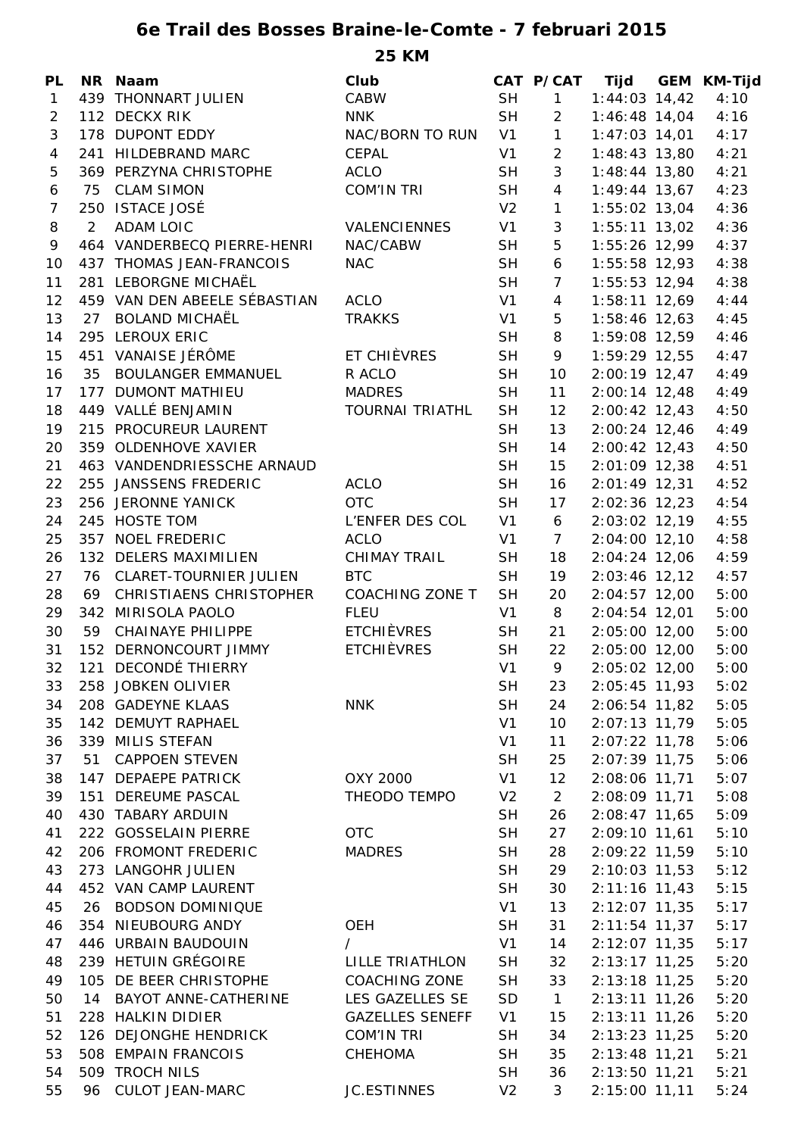## **6e Trail des Bosses Braine-le-Comte - 7 februari 2015 25 KM**

| <b>PL</b>      |                | NR Naam                      | Club                   |                | CAT P/CAT       |                 | Tijd GEM KM-Tijd |
|----------------|----------------|------------------------------|------------------------|----------------|-----------------|-----------------|------------------|
| $\mathbf{1}$   |                | 439 THONNART JULIEN          | CABW                   | <b>SH</b>      | $\mathbf{1}$    | $1:44:03$ 14,42 | 4:10             |
| $\overline{2}$ |                | 112 DECKX RIK                | <b>NNK</b>             | <b>SH</b>      | $\overline{2}$  | $1:46:48$ 14,04 | 4:16             |
| 3              |                | 178 DUPONT EDDY              | NAC/BORN TO RUN        | V1             | $\mathbf{1}$    | $1:47:03$ 14,01 | 4:17             |
| $\overline{4}$ |                | 241 HILDEBRAND MARC          | CEPAL                  | V <sub>1</sub> | 2               | $1:48:43$ 13,80 | 4:21             |
| 5              |                | 369 PERZYNA CHRISTOPHE       | <b>ACLO</b>            | <b>SH</b>      | 3               | $1:48:44$ 13,80 | 4:21             |
| 6              |                | 75 CLAM SIMON                | <b>COM'IN TRI</b>      | <b>SH</b>      | $\overline{4}$  | $1:49:44$ 13,67 | 4:23             |
| $\overline{7}$ |                | 250 ISTACE JOSÉ              |                        | V <sub>2</sub> | $\mathbf{1}$    | $1:55:02$ 13,04 | 4:36             |
| 8              | $\overline{2}$ | <b>ADAM LOIC</b>             | VALENCIENNES           | V1             | $\mathbf{3}$    | $1:55:11$ 13,02 | 4:36             |
| 9              |                | 464 VANDERBECQ PIERRE-HENRI  | NAC/CABW               | <b>SH</b>      | 5               | $1:55:26$ 12,99 | 4:37             |
| 10             |                | 437 THOMAS JEAN-FRANCOIS     | <b>NAC</b>             | <b>SH</b>      | 6               | $1:55:58$ 12,93 | 4:38             |
| 11             |                | 281 LEBORGNE MICHAËL         |                        | <b>SH</b>      | $\overline{7}$  | $1:55:53$ 12,94 | 4:38             |
| 12             |                | 459 VAN DEN ABEELE SÉBASTIAN | <b>ACLO</b>            | V1             | $\overline{4}$  | $1:58:11$ 12,69 | 4:44             |
| 13             | 27             | <b>BOLAND MICHAËL</b>        | <b>TRAKKS</b>          | V <sub>1</sub> | 5               | $1:58:46$ 12,63 | 4:45             |
| 14             |                | 295 LEROUX ERIC              |                        | <b>SH</b>      | 8               | 1:59:08 12,59   | 4:46             |
| 15             |                | 451 VANAISE JÉRÔME           | ET CHIÈVRES            | <b>SH</b>      | 9               | 1:59:29 12,55   | 4:47             |
| 16             | 35             | <b>BOULANGER EMMANUEL</b>    | R ACLO                 | <b>SH</b>      | 10              | $2:00:19$ 12,47 | 4:49             |
| 17             |                | 177 DUMONT MATHIEU           | <b>MADRES</b>          | <b>SH</b>      | 11              | $2:00:14$ 12,48 | 4:49             |
| 18             |                | 449 VALLÉ BENJAMIN           | <b>TOURNAI TRIATHL</b> | <b>SH</b>      | 12              | $2:00:42$ 12,43 | 4:50             |
| 19             |                | 215 PROCUREUR LAURENT        |                        | <b>SH</b>      | 13              | $2:00:24$ 12,46 | 4:49             |
| 20             |                | 359 OLDENHOVE XAVIER         |                        | <b>SH</b>      | 14              | $2:00:42$ 12,43 | 4:50             |
| 21             |                | 463 VANDENDRIESSCHE ARNAUD   |                        | <b>SH</b>      | 15              | $2:01:09$ 12,38 | 4:51             |
| 22             |                | 255 JANSSENS FREDERIC        | <b>ACLO</b>            | <b>SH</b>      | 16              | $2:01:49$ 12,31 | 4:52             |
| 23             |                | 256 JERONNE YANICK           | <b>OTC</b>             | <b>SH</b>      | 17              | $2:02:36$ 12,23 | 4:54             |
| 24             |                | 245 HOSTE TOM                | L'ENFER DES COL        | V <sub>1</sub> | $6\overline{6}$ | $2:03:02$ 12,19 | 4:55             |
| 25             |                | 357 NOEL FREDERIC            | <b>ACLO</b>            | V <sub>1</sub> | $\overline{7}$  | $2:04:00$ 12,10 | 4:58             |
| 26             |                | 132 DELERS MAXIMILIEN        | <b>CHIMAY TRAIL</b>    | <b>SH</b>      | 18              | 2:04:24 12,06   | 4:59             |
| 27             |                | 76 CLARET-TOURNIER JULIEN    | <b>BTC</b>             | <b>SH</b>      | 19              | $2:03:46$ 12,12 | 4:57             |
| 28             |                | 69 CHRISTIAENS CHRISTOPHER   | COACHING ZONE T        | <b>SH</b>      | 20              | $2:04:57$ 12,00 | 5:00             |
| 29             |                | 342 MIRISOLA PAOLO           | <b>FLEU</b>            | V <sub>1</sub> | 8               | $2:04:54$ 12,01 | 5:00             |
| 30             |                | 59 CHAINAYE PHILIPPE         | ETCHIÈVRES             | <b>SH</b>      | 21              | 2:05:00 12,00   | 5:00             |
| 31             |                | 152 DERNONCOURT JIMMY        | <b>ETCHIÈVRES</b>      | <b>SH</b>      | 22              | $2:05:00$ 12,00 | 5:00             |
| 32             |                | 121 DECONDÉ THIERRY          |                        | V <sub>1</sub> | 9               | 2:05:02 12,00   | 5:00             |
| 33             |                | 258 JOBKEN OLIVIER           |                        | <b>SH</b>      | 23              | 2:05:45 11,93   | 5:02             |
| 34             |                | 208 GADEYNE KLAAS            | <b>NNK</b>             | <b>SH</b>      | 24              | 2:06:54 11,82   | 5:05             |
| 35             |                | 142 DEMUYT RAPHAEL           |                        | V <sub>1</sub> | 10              | 2:07:13 11,79   | 5:05             |
| 36             |                | 339 MILIS STEFAN             |                        | V <sub>1</sub> | 11              | 2:07:22 11,78   | 5:06             |
| 37             | 51             | <b>CAPPOEN STEVEN</b>        |                        | <b>SH</b>      | 25              | 2:07:39 11,75   | 5:06             |
| 38             |                | 147 DEPAEPE PATRICK          | OXY 2000               | V <sub>1</sub> | 12              | 2:08:06 11,71   | 5:07             |
| 39             |                | 151 DEREUME PASCAL           | THEODO TEMPO           | V <sub>2</sub> | 2               | 2:08:09 11,71   | 5:08             |
| 40             |                | 430 TABARY ARDUIN            |                        | <b>SH</b>      | 26              | 2:08:47 11,65   | 5:09             |
| 41             |                | 222 GOSSELAIN PIERRE         | <b>OTC</b>             | <b>SH</b>      | 27              | 2:09:10 11,61   | 5:10             |
| 42             |                | 206 FROMONT FREDERIC         | <b>MADRES</b>          | <b>SH</b>      | 28              | 2:09:22 11,59   | 5:10             |
| 43             |                | 273 LANGOHR JULIEN           |                        | <b>SH</b>      | 29              | 2:10:03 11,53   | 5:12             |
| 44             |                | 452 VAN CAMP LAURENT         |                        | <b>SH</b>      | 30              | 2:11:16 11,43   | 5:15             |
| 45             | 26             | <b>BODSON DOMINIQUE</b>      |                        | V <sub>1</sub> | 13              | 2:12:07 11,35   | 5:17             |
| 46             |                | 354 NIEUBOURG ANDY           | <b>OEH</b>             | <b>SH</b>      | 31              | $2:11:54$ 11,37 | 5:17             |
| 47             |                | 446 URBAIN BAUDOUIN          | $\prime$               | V <sub>1</sub> | 14              | 2:12:07 11,35   | 5:17             |
| 48             |                | 239 HETUIN GRÉGOIRE          | LILLE TRIATHLON        | <b>SH</b>      | 32              | $2:13:17$ 11,25 | 5:20             |
| 49             |                | 105 DE BEER CHRISTOPHE       | <b>COACHING ZONE</b>   | <b>SH</b>      | 33              | 2:13:18 11,25   | 5:20             |
| 50             | 14             | BAYOT ANNE-CATHERINE         | LES GAZELLES SE        | SD             | $\overline{1}$  | 2:13:11 11,26   | 5:20             |
| 51             |                | 228 HALKIN DIDIER            | <b>GAZELLES SENEFF</b> | V <sub>1</sub> | 15              | $2:13:11$ 11,26 | 5:20             |
| 52             |                | 126 DEJONGHE HENDRICK        | <b>COM'IN TRI</b>      | <b>SH</b>      | 34              | 2:13:23 11,25   | 5:20             |
| 53             |                | 508 EMPAIN FRANCOIS          | CHEHOMA                | <b>SH</b>      | 35              | 2:13:48 11,21   | 5:21             |
| 54             |                | 509 TROCH NILS               |                        | <b>SH</b>      | 36              | 2:13:50 11,21   | 5:21             |
| 55             | 96             | <b>CULOT JEAN-MARC</b>       | <b>JC.ESTINNES</b>     | V <sub>2</sub> | 3               | 2:15:00 11,11   | 5:24             |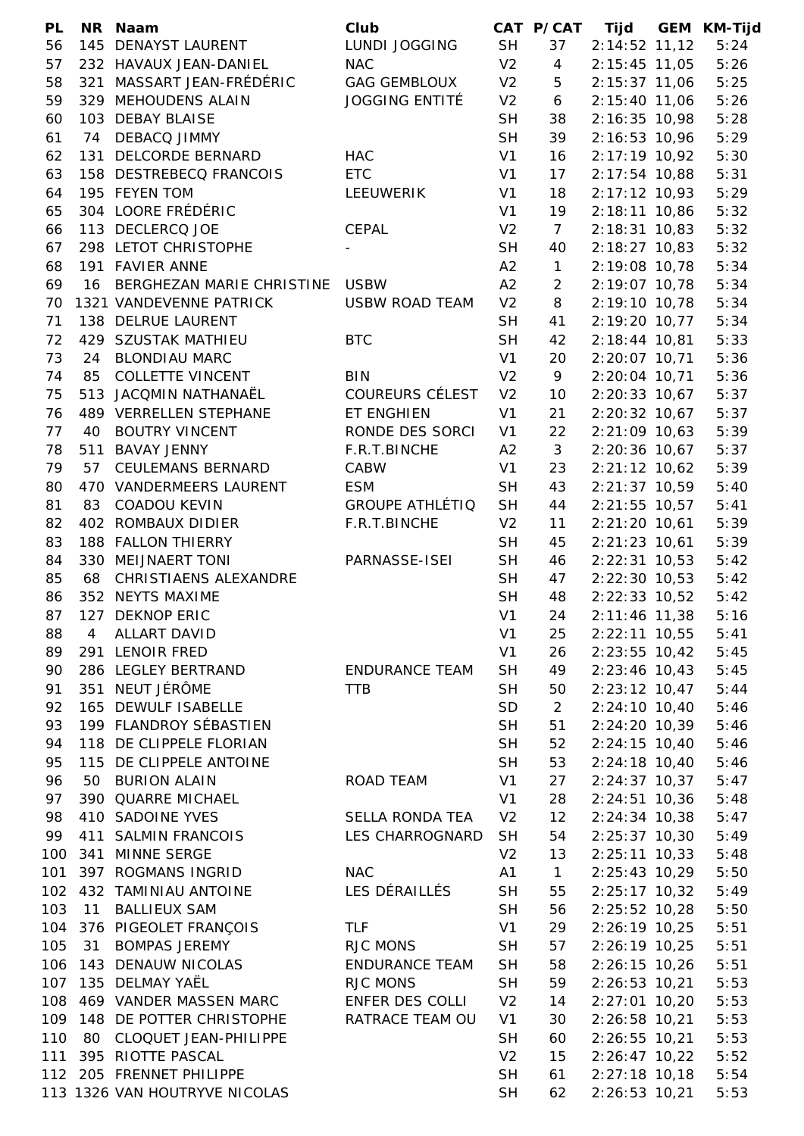| <b>PL</b> |     | NR Naam                                       | Club                   |                | CAT P/CAT       | Tijd            | GEM KM-Tijd |
|-----------|-----|-----------------------------------------------|------------------------|----------------|-----------------|-----------------|-------------|
| 56        |     | 145 DENAYST LAURENT                           | LUNDI JOGGING          | <b>SH</b>      | 37              | $2:14:52$ 11,12 | 5:24        |
| 57        |     | 232 HAVAUX JEAN-DANIEL                        | <b>NAC</b>             | V <sub>2</sub> | $\overline{4}$  | $2:15:45$ 11,05 | 5:26        |
| 58        |     | 321 MASSART JEAN-FRÉDÉRIC                     | <b>GAG GEMBLOUX</b>    | V <sub>2</sub> | 5               | $2:15:37$ 11,06 | 5:25        |
| 59        |     | 329 MEHOUDENS ALAIN                           | <b>JOGGING ENTITÉ</b>  | V <sub>2</sub> | 6               | 2:15:40 11,06   | 5:26        |
| 60        |     | 103 DEBAY BLAISE                              |                        | <b>SH</b>      | 38              | 2:16:35 10,98   | 5:28        |
| 61        | 74  | <b>DEBACQ JIMMY</b>                           |                        | <b>SH</b>      | 39              | 2:16:53 10,96   | 5:29        |
| 62        |     | 131 DELCORDE BERNARD                          | <b>HAC</b>             | V1             | 16              | 2:17:19 10,92   | 5:30        |
| 63        |     | 158 DESTREBECQ FRANCOIS                       | <b>ETC</b>             | V <sub>1</sub> | 17              | 2:17:54 10,88   | 5:31        |
| 64        |     | 195 FEYEN TOM                                 | LEEUWERIK              | V1             | 18              | $2:17:12$ 10,93 | 5:29        |
| 65        |     | 304 LOORE FRÉDÉRIC                            |                        | V1             | 19              | $2:18:11$ 10,86 | 5:32        |
| 66        |     | 113 DECLERCQ JOE                              | CEPAL                  | V <sub>2</sub> | $7\overline{ }$ | $2:18:31$ 10,83 | 5:32        |
| 67        |     | 298 LETOT CHRISTOPHE                          |                        | <b>SH</b>      | 40              | 2:18:27 10,83   | 5:32        |
| 68        |     | 191 FAVIER ANNE                               |                        | A2             | $\mathbf{1}$    | 2:19:08 10,78   | 5:34        |
| 69        | 16  | BERGHEZAN MARIE CHRISTINE                     | <b>USBW</b>            | A2             | $\overline{2}$  | 2:19:07 10,78   | 5:34        |
| 70        |     | 1321 VANDEVENNE PATRICK                       | <b>USBW ROAD TEAM</b>  | V <sub>2</sub> | 8               | 2:19:10 10,78   | 5:34        |
| 71        |     | 138 DELRUE LAURENT                            |                        | <b>SH</b>      | 41              | 2:19:20 10,77   | 5:34        |
| 72        |     | 429 SZUSTAK MATHIEU                           | <b>BTC</b>             | <b>SH</b>      | 42              | 2:18:44 10,81   | 5:33        |
| 73        | 24  | <b>BLONDIAU MARC</b>                          |                        | V1             | 20              | 2:20:07 10,71   | 5:36        |
| 74        |     | 85 COLLETTE VINCENT                           | <b>BIN</b>             | V <sub>2</sub> | 9               | 2:20:04 10,71   | 5:36        |
| 75        |     | 513 JACQMIN NATHANAËL                         | <b>COUREURS CÉLEST</b> | V <sub>2</sub> | 10              | $2:20:33$ 10,67 | 5:37        |
| 76        |     | 489 VERRELLEN STEPHANE                        | ET ENGHIEN             | V <sub>1</sub> | 21              | 2:20:32 10,67   | 5:37        |
| 77        | 40  | <b>BOUTRY VINCENT</b>                         | RONDE DES SORCI        | V <sub>1</sub> | 22              | $2:21:09$ 10,63 | 5:39        |
| 78        |     | 511 BAVAY JENNY                               | F.R.T.BINCHE           | A2             | $\mathbf{3}$    | 2:20:36 10,67   | 5:37        |
| 79        | 57  | <b>CEULEMANS BERNARD</b>                      | CABW                   | V1             | 23              | $2:21:12$ 10,62 | 5:39        |
| 80        |     | 470 VANDERMEERS LAURENT                       | <b>ESM</b>             | <b>SH</b>      | 43              | $2:21:37$ 10,59 | 5:40        |
| 81        |     | 83 COADOU KEVIN                               | <b>GROUPE ATHLÉTIQ</b> | <b>SH</b>      | 44              | $2:21:55$ 10,57 | 5:41        |
| 82        |     | 402 ROMBAUX DIDIER                            | F.R.T.BINCHE           | V <sub>2</sub> | 11              | $2:21:20$ 10,61 | 5:39        |
| 83        |     | 188 FALLON THIERRY                            |                        | <b>SH</b>      | 45              | $2:21:23$ 10,61 | 5:39        |
| 84        |     | 330 MEIJNAERT TONI                            | PARNASSE-ISEI          | <b>SH</b>      | 46              | $2:22:31$ 10,53 | 5:42        |
| 85        |     | 68 CHRISTIAENS ALEXANDRE                      |                        | <b>SH</b>      | 47              | $2:22:30$ 10,53 | 5:42        |
| 86        |     | 352 NEYTS MAXIME                              |                        | <b>SH</b>      | 48              | 2:22:33 10,52   | 5:42        |
| 87        |     | 127 DEKNOP ERIC                               |                        | V1             | 24              | $2:11:46$ 11,38 | 5:16        |
| 88        | 4   | ALLART DAVID                                  |                        | V <sub>1</sub> | 25              | 2:22:11 10,55   | 5:41        |
| 89        |     | 291 LENOIR FRED                               |                        | V <sub>1</sub> | 26              | 2:23:55 10,42   | 5:45        |
|           |     | 286 LEGLEY BERTRAND                           | <b>ENDURANCE TEAM</b>  | <b>SH</b>      | 49              |                 |             |
| 90        |     | NEUT JÉRÔME                                   |                        |                |                 | $2:23:46$ 10,43 | 5:45        |
| 91        | 351 |                                               | <b>TTB</b>             | <b>SH</b>      | 50              | $2:23:12$ 10,47 | 5:44        |
| 92        |     | 165 DEWULF ISABELLE<br>199 FLANDROY SÉBASTIEN |                        | <b>SD</b>      | $\overline{2}$  | $2:24:10$ 10,40 | 5:46        |
| 93        |     |                                               |                        | <b>SH</b>      | 51              | 2:24:20 10,39   | 5:46        |
| 94        |     | 118 DE CLIPPELE FLORIAN                       |                        | <b>SH</b>      | 52              | $2:24:15$ 10,40 | 5:46        |
| 95        |     | 115 DE CLIPPELE ANTOINE                       |                        | <b>SH</b>      | 53              | $2:24:18$ 10,40 | 5:46        |
| 96        | 50  | <b>BURION ALAIN</b>                           | ROAD TEAM              | V <sub>1</sub> | 27              | $2:24:37$ 10,37 | 5:47        |
| 97        |     | 390 QUARRE MICHAEL                            |                        | V <sub>1</sub> | 28              | $2:24:51$ 10,36 | 5:48        |
| 98        |     | 410 SADOINE YVES                              | SELLA RONDA TEA        | V <sub>2</sub> | 12              | $2:24:34$ 10,38 | 5:47        |
| 99        |     | 411 SALMIN FRANCOIS                           | LES CHARROGNARD        | <b>SH</b>      | 54              | 2:25:37 10,30   | 5:49        |
| 100       |     | 341 MINNE SERGE                               |                        | V <sub>2</sub> | 13              | $2:25:11$ 10,33 | 5:48        |
| 101       |     | 397 ROGMANS INGRID                            | <b>NAC</b>             | A1             | $\mathbf{1}$    | 2:25:43 10,29   | 5:50        |
| 102       |     | 432 TAMINIAU ANTOINE                          | LES DÉRAILLÉS          | <b>SH</b>      | 55              | 2:25:17 10,32   | 5:49        |
| 103       | 11  | <b>BALLIEUX SAM</b>                           |                        | <b>SH</b>      | 56              | 2:25:52 10,28   | 5:50        |
| 104       |     | 376 PIGEOLET FRANÇOIS                         | <b>TLF</b>             | V1             | 29              | 2:26:19 10,25   | 5:51        |
| 105       | 31  | <b>BOMPAS JEREMY</b>                          | <b>RJC MONS</b>        | <b>SH</b>      | 57              | 2:26:19 10,25   | 5:51        |
| 106       |     | 143 DENAUW NICOLAS                            | <b>ENDURANCE TEAM</b>  | <b>SH</b>      | 58              | $2:26:15$ 10,26 | 5:51        |
| 107       |     | 135 DELMAY YAËL                               | RJC MONS               | <b>SH</b>      | 59              | $2:26:53$ 10,21 | 5:53        |
| 108       |     | 469 VANDER MASSEN MARC                        | ENFER DES COLLI        | V <sub>2</sub> | 14              | 2:27:01 10,20   | 5:53        |
| 109       |     | 148 DE POTTER CHRISTOPHE                      | RATRACE TEAM OU        | V <sub>1</sub> | 30              | 2:26:58 10,21   | 5:53        |
| 110       | 80  | CLOQUET JEAN-PHILIPPE                         |                        | <b>SH</b>      | 60              | $2:26:55$ 10,21 | 5:53        |
| 111       |     | 395 RIOTTE PASCAL                             |                        | V <sub>2</sub> | 15              | 2:26:47 10,22   | 5:52        |
|           |     | 112 205 FRENNET PHILIPPE                      |                        | <b>SH</b>      | 61              | $2:27:18$ 10,18 | 5:54        |
|           |     | 113 1326 VAN HOUTRYVE NICOLAS                 |                        | <b>SH</b>      | 62              | $2:26:53$ 10,21 | 5:53        |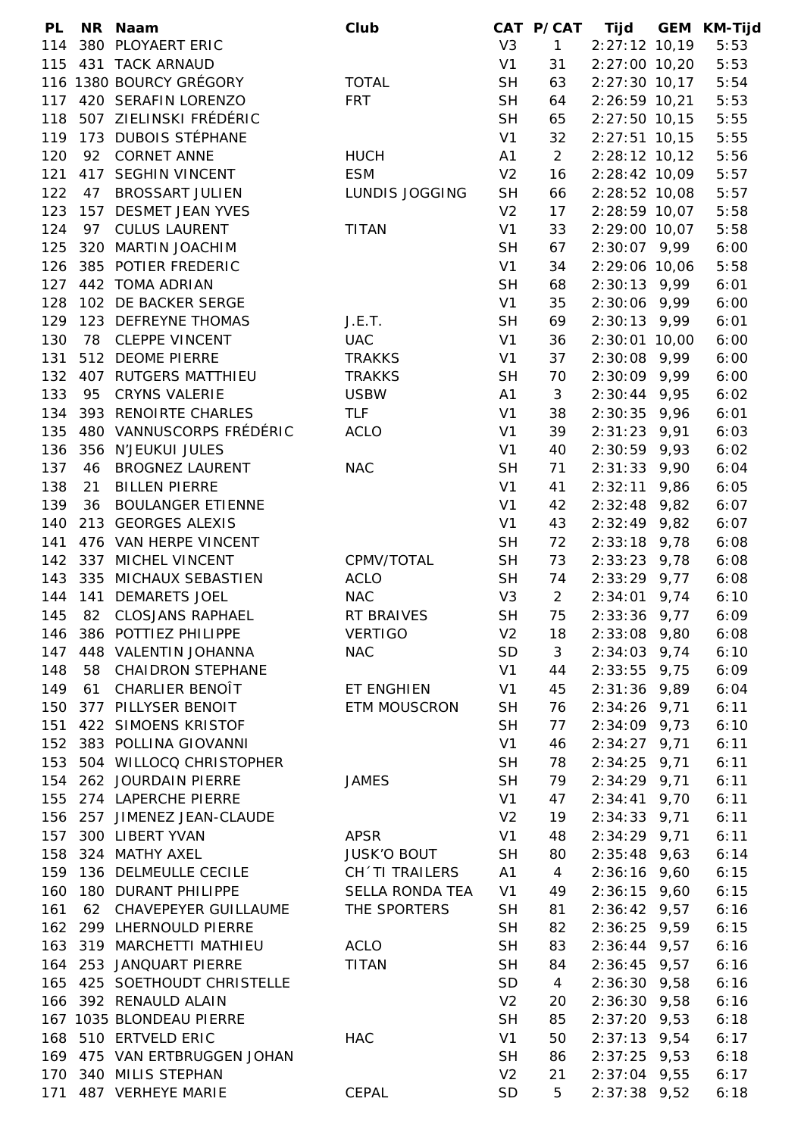| PL  |    | NR Naam                      | Club                  |                | CAT P/CAT      | Tijd            | <b>GEM KM-Tijd</b> |
|-----|----|------------------------------|-----------------------|----------------|----------------|-----------------|--------------------|
| 114 |    | 380 PLOYAERT ERIC            |                       | V3             | 1              | $2:27:12$ 10,19 | 5:53               |
| 115 |    | 431 TACK ARNAUD              |                       | V1             | 31             | $2:27:00$ 10,20 | 5:53               |
|     |    | 116 1380 BOURCY GRÉGORY      | <b>TOTAL</b>          | <b>SH</b>      | 63             | $2:27:30$ 10,17 | 5:54               |
|     |    | 117 420 SERAFIN LORENZO      | <b>FRT</b>            | <b>SH</b>      | 64             | $2:26:59$ 10,21 | 5:53               |
|     |    | 118 507 ZIELINSKI FRÉDÉRIC   |                       | <b>SH</b>      | 65             | $2:27:50$ 10,15 | 5:55               |
| 119 |    | 173 DUBOIS STÉPHANE          |                       | V1             | 32             | $2:27:51$ 10,15 | 5:55               |
| 120 |    | 92 CORNET ANNE               | <b>HUCH</b>           | A1             | $\overline{2}$ | $2:28:12$ 10,12 | 5:56               |
| 121 |    | 417 SEGHIN VINCENT           | <b>ESM</b>            | V <sub>2</sub> | 16             | $2:28:42$ 10,09 | 5:57               |
| 122 |    | 47 BROSSART JULIEN           | <b>LUNDIS JOGGING</b> | <b>SH</b>      | 66             | $2:28:52$ 10,08 | 5:57               |
| 123 |    | 157 DESMET JEAN YVES         |                       | V <sub>2</sub> | 17             | 2:28:59 10,07   | 5:58               |
| 124 |    | 97 CULUS LAURENT             | <b>TITAN</b>          | V1             | 33             | $2:29:00$ 10,07 | 5:58               |
| 125 |    | 320 MARTIN JOACHIM           |                       | <b>SH</b>      | 67             | $2:30:07$ 9,99  | 6:00               |
| 126 |    | 385 POTIER FREDERIC          |                       | V1             | 34             | 2:29:06 10,06   | 5:58               |
| 127 |    | 442 TOMA ADRIAN              |                       | <b>SH</b>      | 68             | $2:30:13$ 9,99  | 6:01               |
|     |    |                              |                       |                |                |                 |                    |
| 128 |    | 102 DE BACKER SERGE          |                       | V <sub>1</sub> | 35             | $2:30:06$ 9,99  | 6:00               |
| 129 |    | 123 DEFREYNE THOMAS          | J.E.T.                | <b>SH</b>      | 69             | $2:30:13$ 9,99  | 6:01               |
| 130 |    | 78 CLEPPE VINCENT            | <b>UAC</b>            | V1             | 36             | $2:30:01$ 10,00 | 6:00               |
| 131 |    | 512 DEOME PIERRE             | <b>TRAKKS</b>         | V1             | 37             | $2:30:08$ 9,99  | 6:00               |
| 132 |    | 407 RUTGERS MATTHIEU         | <b>TRAKKS</b>         | <b>SH</b>      | 70             | $2:30:09$ 9,99  | 6:00               |
| 133 |    | 95 CRYNS VALERIE             | <b>USBW</b>           | A1             | $\mathbf{3}$   | $2:30:44$ 9,95  | 6:02               |
| 134 |    | 393 RENOIRTE CHARLES         | <b>TLF</b>            | V <sub>1</sub> | 38             | $2:30:35$ 9,96  | 6:01               |
| 135 |    | 480 VANNUSCORPS FRÉDÉRIC     | <b>ACLO</b>           | V <sub>1</sub> | 39             | $2:31:23$ 9,91  | 6:03               |
|     |    | 136 356 N'JEUKUI JULES       |                       | V <sub>1</sub> | 40             | $2:30:59$ 9,93  | 6:02               |
| 137 |    | 46 BROGNEZ LAURENT           | <b>NAC</b>            | <b>SH</b>      | 71             | $2:31:33$ 9,90  | 6:04               |
| 138 | 21 | <b>BILLEN PIERRE</b>         |                       | V1             | 41             | $2:32:11$ 9,86  | 6:05               |
| 139 |    | 36 BOULANGER ETIENNE         |                       | V <sub>1</sub> | 42             | $2:32:48$ 9,82  | 6:07               |
| 140 |    | 213 GEORGES ALEXIS           |                       | V <sub>1</sub> | 43             | $2:32:49$ 9,82  | 6:07               |
| 141 |    | 476 VAN HERPE VINCENT        |                       | <b>SH</b>      | 72             | $2:33:18$ 9,78  | 6:08               |
| 142 |    | 337 MICHEL VINCENT           | CPMV/TOTAL            | <b>SH</b>      | 73             | $2:33:23$ 9,78  | 6:08               |
| 143 |    | 335 MICHAUX SEBASTIEN        | <b>ACLO</b>           | <b>SH</b>      | 74             | $2:33:29$ 9,77  | 6:08               |
| 144 |    | 141 DEMARETS JOEL            | <b>NAC</b>            | V3             | $2^{\circ}$    | $2:34:01$ 9,74  | 6:10               |
| 145 |    | 82 CLOSJANS RAPHAEL          | RT BRAIVES            | <b>SH</b>      | 75             | $2:33:36$ 9,77  | 6:09               |
| 146 |    | 386 POTTIEZ PHILIPPE         | <b>VERTIGO</b>        | V <sub>2</sub> | 18             | $2:33:08$ 9,80  | 6:08               |
| 147 |    | 448 VALENTIN JOHANNA         | <b>NAC</b>            | <b>SD</b>      | 3              | $2:34:03$ 9,74  | 6:10               |
| 148 |    | 58 CHAIDRON STEPHANE         |                       | V1             | 44             | $2:33:55$ 9,75  | 6:09               |
| 149 | 61 | CHARLIER BENOÎT              | ET ENGHIEN            | V <sub>1</sub> | 45             | $2:31:36$ 9,89  | 6:04               |
| 150 |    | 377 PILLYSER BENOIT          | <b>ETM MOUSCRON</b>   | <b>SH</b>      | 76             | $2:34:26$ 9,71  | 6:11               |
|     |    |                              |                       |                |                |                 |                    |
| 151 |    | 422 SIMOENS KRISTOF          |                       | <b>SH</b>      | 77             | $2:34:09$ 9,73  | 6:10               |
| 152 |    | 383 POLLINA GIOVANNI         |                       | V <sub>1</sub> | 46             | $2:34:27$ 9,71  | 6:11               |
| 153 |    | 504 WILLOCQ CHRISTOPHER      |                       | <b>SH</b>      | 78             | $2:34:25$ 9,71  | 6:11               |
| 154 |    | 262 JOURDAIN PIERRE          | <b>JAMES</b>          | <b>SH</b>      | 79             | $2:34:29$ 9,71  | 6:11               |
| 155 |    | 274 LAPERCHE PIERRE          |                       | V1             | 47             | $2:34:41$ 9,70  | 6:11               |
| 156 |    | 257 JIMENEZ JEAN-CLAUDE      |                       | V <sub>2</sub> | 19             | $2:34:33$ 9,71  | 6:11               |
| 157 |    | 300 LIBERT YVAN              | <b>APSR</b>           | V1             | 48             | $2:34:29$ 9,71  | 6:11               |
| 158 |    | 324 MATHY AXEL               | <b>JUSK'O BOUT</b>    | <b>SH</b>      | 80             | $2:35:48$ 9,63  | 6:14               |
| 159 |    | 136 DELMEULLE CECILE         | CH'TI TRAILERS        | A1             | $\overline{4}$ | $2:36:16$ 9,60  | 6:15               |
| 160 |    | 180 DURANT PHILIPPE          | SELLA RONDA TEA       | V <sub>1</sub> | 49             | $2:36:15$ 9,60  | 6:15               |
| 161 |    | 62 CHAVEPEYER GUILLAUME      | THE SPORTERS          | <b>SH</b>      | 81             | $2:36:42$ 9,57  | 6:16               |
| 162 |    | 299 LHERNOULD PIERRE         |                       | <b>SH</b>      | 82             | $2:36:25$ 9,59  | 6:15               |
| 163 |    | 319 MARCHETTI MATHIEU        | ACLO                  | <b>SH</b>      | 83             | $2:36:44$ 9,57  | 6:16               |
|     |    | 164 253 JANQUART PIERRE      | <b>TITAN</b>          | <b>SH</b>      | 84             | $2:36:45$ 9,57  | 6:16               |
|     |    | 165 425 SOETHOUDT CHRISTELLE |                       | <b>SD</b>      | $\overline{4}$ | $2:36:30$ 9,58  | 6:16               |
|     |    | 166 392 RENAULD ALAIN        |                       | V <sub>2</sub> | 20             | $2:36:30$ 9,58  | 6:16               |
|     |    | 167 1035 BLONDEAU PIERRE     |                       | <b>SH</b>      | 85             | $2:37:20$ 9,53  | 6:18               |
|     |    | 168 510 ERTVELD ERIC         | <b>HAC</b>            | V <sub>1</sub> | 50             | $2:37:13$ 9,54  | 6:17               |
|     |    | 169 475 VAN ERTBRUGGEN JOHAN |                       | <b>SH</b>      | 86             | $2:37:25$ 9,53  | 6:18               |
| 170 |    | 340 MILIS STEPHAN            |                       | V <sub>2</sub> | 21             | $2:37:04$ 9,55  | 6:17               |
| 171 |    | 487 VERHEYE MARIE            | CEPAL                 | <b>SD</b>      | 5              | $2:37:38$ 9,52  | 6:18               |
|     |    |                              |                       |                |                |                 |                    |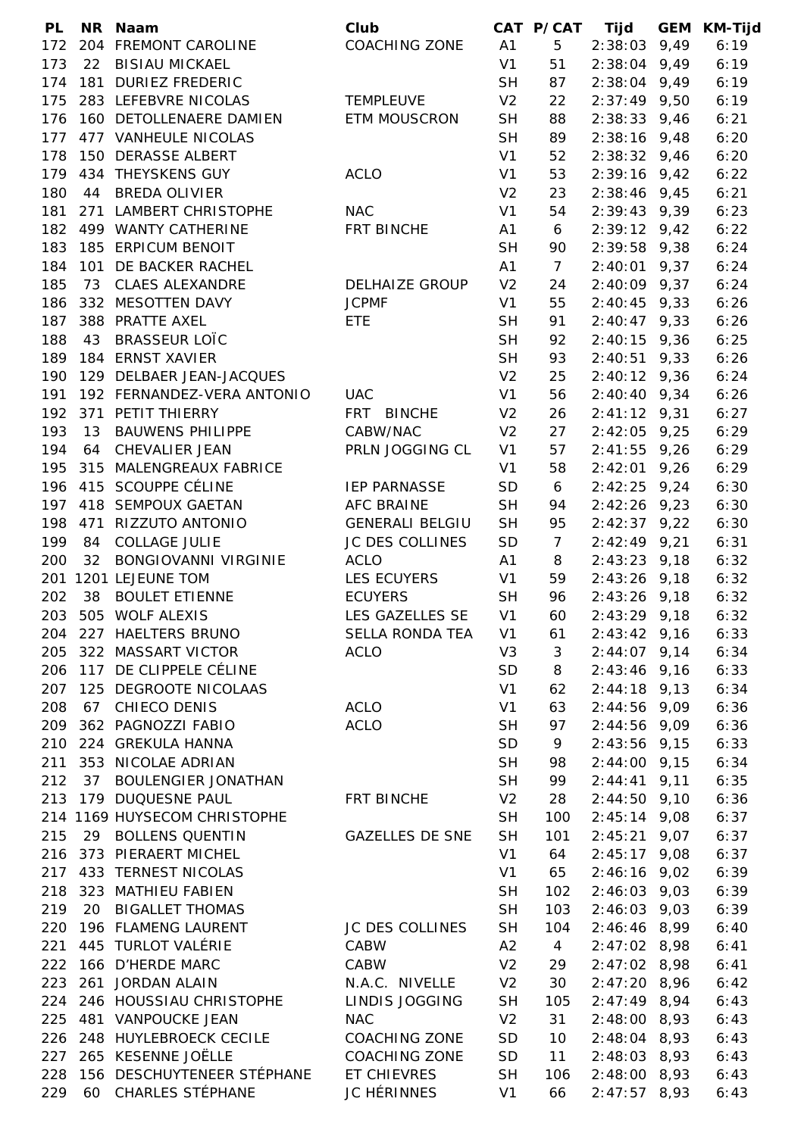| <b>PL</b> |     | NR Naam                      | Club                   |                | CAT P/CAT      | <b>Tijd</b>    |      | <b>GEM KM-Tijd</b> |
|-----------|-----|------------------------------|------------------------|----------------|----------------|----------------|------|--------------------|
| 172       |     | 204 FREMONT CAROLINE         | <b>COACHING ZONE</b>   | A1             | 5              | $2:38:03$ 9,49 |      | 6:19               |
| 173       | 22  | <b>BISIAU MICKAEL</b>        |                        | V <sub>1</sub> | 51             | $2:38:04$ 9,49 |      | 6:19               |
| 174       |     | 181 DURIEZ FREDERIC          |                        | <b>SH</b>      | 87             | $2:38:04$ 9,49 |      | 6:19               |
| 175       |     | 283 LEFEBVRE NICOLAS         | <b>TEMPLEUVE</b>       | V <sub>2</sub> | 22             | $2:37:49$ 9,50 |      | 6:19               |
| 176       |     | 160 DETOLLENAERE DAMIEN      | <b>ETM MOUSCRON</b>    | <b>SH</b>      | 88             | $2:38:33$ 9,46 |      | 6:21               |
| 177       |     | 477 VANHEULE NICOLAS         |                        | <b>SH</b>      | 89             | $2:38:16$ 9,48 |      | 6:20               |
| 178       |     | 150 DERASSE ALBERT           |                        | V <sub>1</sub> | 52             | $2:38:32$ 9,46 |      | 6:20               |
| 179       |     | 434 THEYSKENS GUY            | <b>ACLO</b>            | V <sub>1</sub> | 53             | $2:39:16$ 9,42 |      | 6:22               |
| 180       | 44  | <b>BREDA OLIVIER</b>         |                        | V <sub>2</sub> | 23             | $2:38:46$ 9,45 |      | 6:21               |
| 181       |     | 271 LAMBERT CHRISTOPHE       | <b>NAC</b>             | V <sub>1</sub> | 54             | $2:39:43$ 9,39 |      | 6:23               |
| 182       |     | 499 WANTY CATHERINE          | FRT BINCHE             | A1             | 6              | $2:39:12$ 9,42 |      | 6:22               |
| 183       |     | 185 ERPICUM BENOIT           |                        | <b>SH</b>      | 90             | $2:39:58$ 9,38 |      | 6:24               |
| 184       |     | 101 DE BACKER RACHEL         |                        | A1             | $\overline{7}$ | 2:40:01        | 9,37 | 6:24               |
| 185       |     | 73 CLAES ALEXANDRE           | <b>DELHAIZE GROUP</b>  | V <sub>2</sub> |                |                |      |                    |
|           |     |                              |                        |                | 24             | $2:40:09$ 9,37 |      | 6:24               |
| 186       |     | 332 MESOTTEN DAVY            | <b>JCPMF</b>           | V <sub>1</sub> | 55             | $2:40:45$ 9,33 |      | 6:26               |
| 187       |     | 388 PRATTE AXEL              | <b>ETE</b>             | <b>SH</b>      | 91             | $2:40:47$ 9,33 |      | 6:26               |
| 188       | 43  | <b>BRASSEUR LOTC</b>         |                        | <b>SH</b>      | 92             | $2:40:15$ 9,36 |      | 6:25               |
| 189       |     | 184 ERNST XAVIER             |                        | <b>SH</b>      | 93             | $2:40:51$ 9,33 |      | 6:26               |
| 190       |     | 129 DELBAER JEAN-JACQUES     |                        | V <sub>2</sub> | 25             | $2:40:12$ 9,36 |      | 6:24               |
| 191       |     | 192 FERNANDEZ-VERA ANTONIO   | <b>UAC</b>             | V <sub>1</sub> | 56             | $2:40:40$ 9,34 |      | 6:26               |
| 192       |     | 371 PETIT THIERRY            | FRT BINCHE             | V <sub>2</sub> | 26             | $2:41:12$ 9,31 |      | 6:27               |
| 193       |     | 13 BAUWENS PHILIPPE          | CABW/NAC               | V <sub>2</sub> | 27             | $2:42:05$ 9,25 |      | 6:29               |
| 194       |     | 64 CHEVALIER JEAN            | PRLN JOGGING CL        | V <sub>1</sub> | 57             | $2:41:55$ 9,26 |      | 6:29               |
| 195       |     | 315 MALENGREAUX FABRICE      |                        | V <sub>1</sub> | 58             | $2:42:01$ 9,26 |      | 6:29               |
| 196       |     | 415 SCOUPPE CÉLINE           | <b>IEP PARNASSE</b>    | SD             | 6              | $2:42:25$ 9,24 |      | 6:30               |
| 197       |     | 418 SEMPOUX GAETAN           | <b>AFC BRAINE</b>      | <b>SH</b>      | 94             | $2:42:26$ 9,23 |      | 6:30               |
| 198       | 471 | RIZZUTO ANTONIO              | <b>GENERALI BELGIU</b> | <b>SH</b>      | 95             | $2:42:37$ 9,22 |      | 6:30               |
| 199       | 84  | <b>COLLAGE JULIE</b>         | JC DES COLLINES        | SD             | $\overline{7}$ | $2:42:49$ 9,21 |      | 6:31               |
| 200       | 32  | <b>BONGIOVANNI VIRGINIE</b>  | <b>ACLO</b>            | A1             | 8              | $2:43:23$ 9,18 |      | 6:32               |
|           |     | 201 1201 LEJEUNE TOM         | <b>LES ECUYERS</b>     | V1             | 59             | $2:43:26$ 9,18 |      | 6:32               |
| 202       | 38  | <b>BOULET ETIENNE</b>        | <b>ECUYERS</b>         | <b>SH</b>      | 96             | $2:43:26$ 9,18 |      | 6:32               |
| 203       |     | 505 WOLF ALEXIS              | LES GAZELLES SE        | V <sub>1</sub> | 60             | $2:43:29$ 9,18 |      | 6:32               |
| 204       |     | 227 HAELTERS BRUNO           | SELLA RONDA TEA        | V <sub>1</sub> | 61             | $2:43:42$ 9,16 |      | 6:33               |
| 205       |     | 322 MASSART VICTOR           | <b>ACLO</b>            | V <sub>3</sub> | 3              | $2:44:07$ 9,14 |      | 6:34               |
| 206       |     | 117 DE CLIPPELE CÉLINE       |                        | SD             | 8              | $2:43:46$ 9,16 |      | 6:33               |
| 207       |     | 125 DEGROOTE NICOLAAS        |                        | V <sub>1</sub> | 62             | $2:44:18$ 9,13 |      | 6:34               |
| 208       |     | 67 CHIECO DENIS              | <b>ACLO</b>            | V <sub>1</sub> | 63             | $2:44:56$ 9,09 |      | 6:36               |
| 209       |     | 362 PAGNOZZI FABIO           | <b>ACLO</b>            | <b>SH</b>      | 97             | $2:44:56$ 9,09 |      | 6:36               |
| 210       |     | 224 GREKULA HANNA            |                        | <b>SD</b>      | 9              | $2:43:56$ 9,15 |      | 6:33               |
| 211       |     | 353 NICOLAE ADRIAN           |                        | <b>SH</b>      | 98             | $2:44:00$ 9,15 |      | 6:34               |
| 212       |     | 37 BOULENGIER JONATHAN       |                        | <b>SH</b>      | 99             | $2:44:41$ 9,11 |      | 6:35               |
| 213       |     | 179 DUQUESNE PAUL            | FRT BINCHE             | V <sub>2</sub> | 28             | $2:44:50$ 9,10 |      | 6:36               |
|           |     | 214 1169 HUYSECOM CHRISTOPHE |                        | <b>SH</b>      |                |                |      | 6:37               |
|           |     |                              | <b>GAZELLES DE SNE</b> | <b>SH</b>      | 100            | $2:45:14$ 9,08 |      |                    |
| 215       |     | 29 BOLLENS QUENTIN           |                        |                | 101            | $2:45:21$ 9,07 |      | 6:37               |
| 216       |     | 373 PIERAERT MICHEL          |                        | V <sub>1</sub> | 64             | $2:45:17$ 9,08 |      | 6:37               |
| 217       |     | 433 TERNEST NICOLAS          |                        | V <sub>1</sub> | 65             | $2:46:16$ 9,02 |      | 6:39               |
| 218       |     | 323 MATHIEU FABIEN           |                        | <b>SH</b>      | 102            | $2:46:03$ 9,03 |      | 6:39               |
| 219       |     | 20 BIGALLET THOMAS           |                        | <b>SH</b>      | 103            | $2:46:03$ 9,03 |      | 6:39               |
| 220       |     | 196 FLAMENG LAURENT          | JC DES COLLINES        | <b>SH</b>      | 104            | $2:46:46$ 8,99 |      | 6:40               |
| 221       |     | 445 TURLOT VALÉRIE           | CABW                   | A2             | $\overline{4}$ | $2:47:02$ 8,98 |      | 6:41               |
| 222       |     | 166 D'HERDE MARC             | CABW                   | V <sub>2</sub> | 29             | $2:47:02$ 8,98 |      | 6:41               |
| 223       |     | 261 JORDAN ALAIN             | N.A.C. NIVELLE         | V <sub>2</sub> | 30             | $2:47:20$ 8,96 |      | 6:42               |
| 224       |     | 246 HOUSSIAU CHRISTOPHE      | LINDIS JOGGING         | <b>SH</b>      | 105            | $2:47:49$ 8,94 |      | 6:43               |
| 225       |     | 481 VANPOUCKE JEAN           | <b>NAC</b>             | V <sub>2</sub> | 31             | $2:48:00$ 8,93 |      | 6:43               |
| 226       |     | 248 HUYLEBROECK CECILE       | <b>COACHING ZONE</b>   | SD             | 10             | $2:48:04$ 8,93 |      | 6:43               |
| 227       |     | 265 KESENNE JOËLLE           | <b>COACHING ZONE</b>   | SD             | 11             | $2:48:03$ 8,93 |      | 6:43               |
| 228       |     | 156 DESCHUYTENEER STÉPHANE   | ET CHIEVRES            | <b>SH</b>      | 106            | $2:48:00$ 8,93 |      | 6:43               |
| 229       | 60  | CHARLES STÉPHANE             | <b>JC HÉRINNES</b>     | V <sub>1</sub> | 66             | $2:47:57$ 8,93 |      | 6:43               |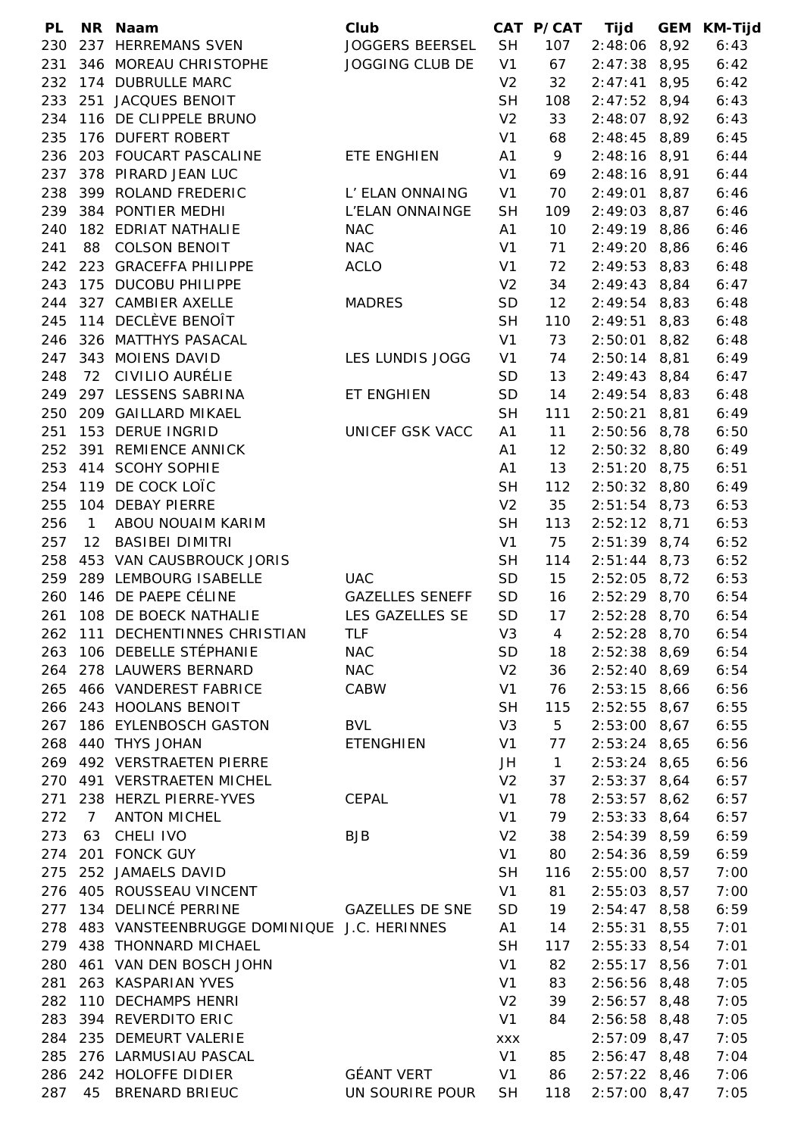| <b>PL</b> |                   | NR Naam                                    | Club                   |                | CAT P/CAT    | Tijd           |      | <b>GEM KM-Tijd</b> |
|-----------|-------------------|--------------------------------------------|------------------------|----------------|--------------|----------------|------|--------------------|
| 230       |                   | 237 HERREMANS SVEN                         | <b>JOGGERS BEERSEL</b> | <b>SH</b>      | 107          | 2:48:06 8,92   |      | 6:43               |
| 231       |                   | 346 MOREAU CHRISTOPHE                      | JOGGING CLUB DE        | V1             | 67           | $2:47:38$ 8,95 |      | 6:42               |
| 232       |                   | 174 DUBRULLE MARC                          |                        | V <sub>2</sub> | 32           | $2:47:41$ 8,95 |      | 6:42               |
| 233       |                   | 251 JACQUES BENOIT                         |                        | <b>SH</b>      | 108          | $2:47:52$ 8,94 |      | 6:43               |
| 234       |                   | 116 DE CLIPPELE BRUNO                      |                        | V <sub>2</sub> | 33           | $2:48:07$ 8,92 |      | 6:43               |
| 235       |                   | 176 DUFERT ROBERT                          |                        | V <sub>1</sub> | 68           | $2:48:45$ 8,89 |      | 6:45               |
| 236       |                   | 203 FOUCART PASCALINE                      | ETE ENGHIEN            | A1             | 9            | $2:48:16$ 8,91 |      | 6:44               |
| 237       |                   | 378 PIRARD JEAN LUC                        |                        | V <sub>1</sub> | 69           | $2:48:16$ 8,91 |      | 6:44               |
| 238       |                   | 399 ROLAND FREDERIC                        | L' ELAN ONNAING        | V <sub>1</sub> | 70           | $2:49:01$ 8,87 |      | 6:46               |
| 239       |                   | 384 PONTIER MEDHI                          | L'ELAN ONNAINGE        | <b>SH</b>      | 109          | $2:49:03$ 8,87 |      | 6:46               |
| 240       |                   | 182 EDRIAT NATHALIE                        | <b>NAC</b>             | A1             | 10           | $2:49:19$ 8,86 |      | 6:46               |
| 241       |                   | 88 COLSON BENOIT                           | <b>NAC</b>             | V <sub>1</sub> | 71           | $2:49:20$ 8,86 |      | 6:46               |
| 242       |                   | 223 GRACEFFA PHILIPPE                      | <b>ACLO</b>            | V <sub>1</sub> | 72           | $2:49:53$ 8,83 |      | 6:48               |
| 243       |                   | 175 DUCOBU PHILIPPE                        |                        | V <sub>2</sub> | 34           | $2:49:43$ 8,84 |      | 6:47               |
| 244       |                   | 327 CAMBIER AXELLE                         | <b>MADRES</b>          | SD             | 12           | $2:49:54$ 8,83 |      | 6:48               |
| 245       |                   | 114 DECLÈVE BENOÎT                         |                        | <b>SH</b>      | 110          | $2:49:51$ 8,83 |      |                    |
|           |                   |                                            |                        |                |              |                |      | 6:48               |
| 246       |                   | 326 MATTHYS PASACAL                        |                        | V <sub>1</sub> | 73           | $2:50:01$ 8,82 |      | 6:48               |
| 247       |                   | 343 MOIENS DAVID                           | LES LUNDIS JOGG        | V <sub>1</sub> | 74           | $2:50:14$ 8,81 |      | 6:49               |
| 248       |                   | 72 CIVILIO AURÉLIE                         |                        | <b>SD</b>      | 13           | $2:49:43$ 8,84 |      | 6:47               |
| 249       |                   | 297 LESSENS SABRINA                        | ET ENGHIEN             | <b>SD</b>      | 14           | $2:49:54$ 8,83 |      | 6:48               |
| 250       |                   | 209 GAILLARD MIKAEL                        |                        | <b>SH</b>      | 111          | 2:50:21        | 8,81 | 6:49               |
| 251       |                   | 153 DERUE INGRID                           | UNICEF GSK VACC        | A1             | 11           | 2:50:56 8,78   |      | 6:50               |
| 252       |                   | 391 REMIENCE ANNICK                        |                        | A1             | 12           | $2:50:32$ 8,80 |      | 6:49               |
| 253       |                   | 414 SCOHY SOPHIE                           |                        | A1             | 13           | $2:51:20$ 8,75 |      | 6:51               |
| 254       |                   | 119 DE COCK LOÏC                           |                        | <b>SH</b>      | 112          | $2:50:32$ 8,80 |      | 6:49               |
| 255       |                   | 104 DEBAY PIERRE                           |                        | V <sub>2</sub> | 35           | $2:51:54$ 8,73 |      | 6:53               |
| 256       | $\mathbf{1}$      | ABOU NOUAIM KARIM                          |                        | <b>SH</b>      | 113          | $2:52:12$ 8,71 |      | 6:53               |
| 257       | $12 \overline{ }$ | <b>BASIBEI DIMITRI</b>                     |                        | V <sub>1</sub> | 75           | $2:51:39$ 8,74 |      | 6:52               |
| 258       |                   | 453 VAN CAUSBROUCK JORIS                   |                        | <b>SH</b>      | 114          | $2:51:44$ 8,73 |      | 6:52               |
| 259       |                   | 289 LEMBOURG ISABELLE                      | <b>UAC</b>             | SD             | 15           | $2:52:05$ 8,72 |      | 6:53               |
| 260       |                   | 146 DE PAEPE CÉLINE                        | <b>GAZELLES SENEFF</b> | SD             | 16           | $2:52:29$ 8,70 |      | 6:54               |
| 261       |                   | 108 DE BOECK NATHALIE                      | LES GAZELLES SE        | SD             | 17           | $2:52:28$ 8,70 |      | 6:54               |
| 262       |                   | 111 DECHENTINNES CHRISTIAN                 | TLF                    | V <sub>3</sub> | 4            | $2:52:28$ 8,70 |      | 6:54               |
| 263       |                   | 106 DEBELLE STÉPHANIE                      | <b>NAC</b>             | SD             | 18           | $2:52:38$ 8,69 |      | 6:54               |
| 264       |                   | 278 LAUWERS BERNARD                        | <b>NAC</b>             | V <sub>2</sub> | 36           | $2:52:40$ 8,69 |      | 6:54               |
| 265       |                   | 466 VANDEREST FABRICE                      | CABW                   | V <sub>1</sub> | 76           | $2:53:15$ 8,66 |      | 6:56               |
|           |                   | 266 243 HOOLANS BENOIT                     |                        | <b>SH</b>      | 115          | $2:52:55$ 8,67 |      | 6:55               |
| 267       |                   | 186 EYLENBOSCH GASTON                      | <b>BVL</b>             | V <sub>3</sub> | 5            | $2:53:00$ 8,67 |      | 6:55               |
| 268       |                   | 440 THYS JOHAN                             | <b>ETENGHIEN</b>       | V <sub>1</sub> | 77           | $2:53:24$ 8,65 |      | 6:56               |
| 269       |                   | 492 VERSTRAETEN PIERRE                     |                        | JH             | $\mathbf{1}$ | $2:53:24$ 8,65 |      | 6:56               |
| 270       |                   | 491 VERSTRAETEN MICHEL                     |                        | V <sub>2</sub> | 37           | $2:53:37$ 8,64 |      | 6:57               |
| 271       |                   | 238 HERZL PIERRE-YVES                      | CEPAL                  | V <sub>1</sub> | 78           | $2:53:57$ 8,62 |      | 6:57               |
| 272       | $\overline{7}$    | <b>ANTON MICHEL</b>                        |                        | V <sub>1</sub> | 79           | $2:53:33$ 8,64 |      | 6:57               |
| 273       | 63                | CHELI IVO                                  | <b>BJB</b>             | V <sub>2</sub> | 38           | $2:54:39$ 8,59 |      | 6:59               |
| 274       |                   | 201 FONCK GUY                              |                        | V <sub>1</sub> | 80           | $2:54:36$ 8,59 |      | 6:59               |
| 275       |                   | 252 JAMAELS DAVID                          |                        | <b>SH</b>      | 116          | $2:55:00$ 8,57 |      | 7:00               |
| 276       |                   | 405 ROUSSEAU VINCENT                       |                        | V <sub>1</sub> | 81           | 2:55:03 8,57   |      | 7:00               |
| 277       |                   | 134 DELINCÉ PERRINE                        | <b>GAZELLES DE SNE</b> | SD             | 19           | $2:54:47$ 8,58 |      | 6:59               |
| 278       |                   | 483 VANSTEENBRUGGE DOMINIQUE J.C. HERINNES |                        | A1             | 14           | $2:55:31$ 8,55 |      | 7:01               |
| 279       |                   | 438 THONNARD MICHAEL                       |                        | <b>SH</b>      | 117          | $2:55:33$ 8,54 |      | 7:01               |
| 280       |                   | 461 VAN DEN BOSCH JOHN                     |                        | V <sub>1</sub> | 82           | $2:55:17$ 8,56 |      | 7:01               |
| 281       |                   | 263 KASPARIAN YVES                         |                        | V <sub>1</sub> | 83           | $2:56:56$ 8,48 |      | 7:05               |
| 282       |                   | 110 DECHAMPS HENRI                         |                        | V <sub>2</sub> | 39           | $2:56:57$ 8,48 |      | 7:05               |
|           |                   | 394 REVERDITO ERIC                         |                        |                |              |                |      |                    |
| 283       |                   |                                            |                        | V <sub>1</sub> | 84           | $2:56:58$ 8,48 |      | 7:05               |
| 284       |                   | 235 DEMEURT VALERIE                        |                        | <b>XXX</b>     |              | $2:57:09$ 8,47 |      | 7:05               |
| 285       |                   | 276 LARMUSIAU PASCAL                       |                        | V1             | 85           | $2:56:47$ 8,48 |      | 7:04               |
| 286       |                   | 242 HOLOFFE DIDIER                         | <b>GÉANT VERT</b>      | V <sub>1</sub> | 86           | $2:57:22$ 8,46 |      | 7:06               |
| 287       | 45                | <b>BRENARD BRIEUC</b>                      | UN SOURIRE POUR        | <b>SH</b>      | 118          | $2:57:00$ 8,47 |      | 7:05               |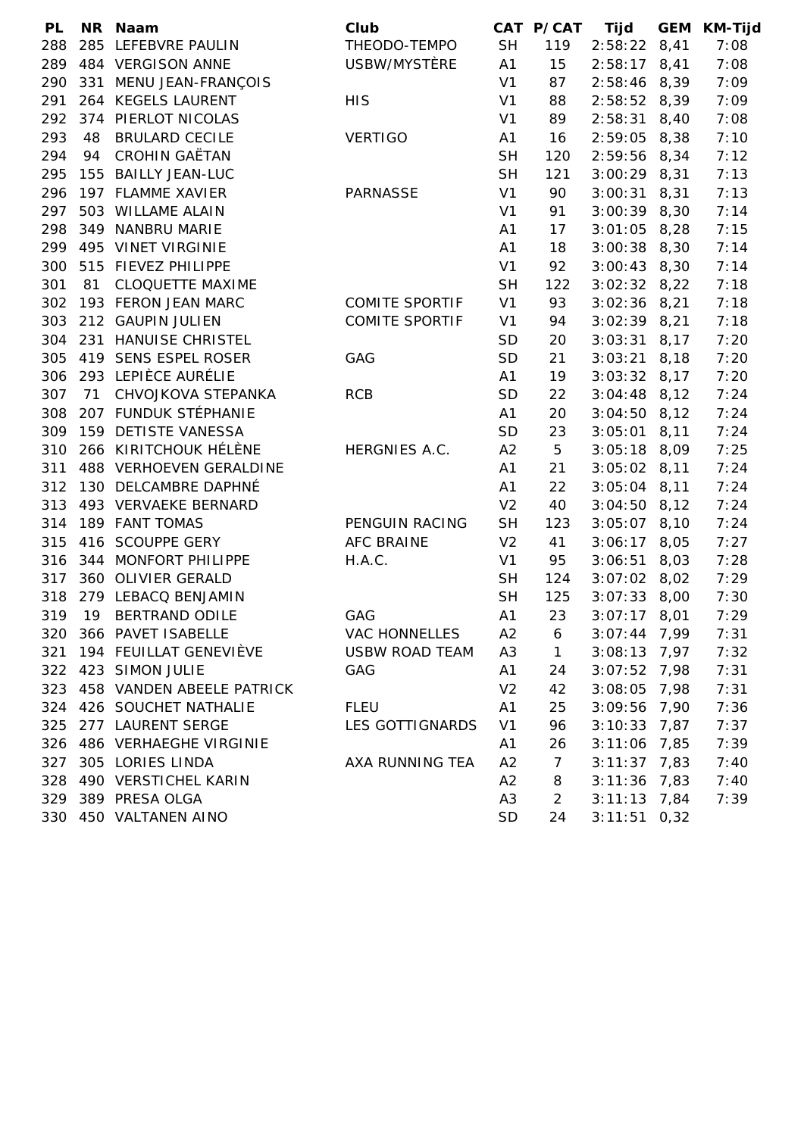| <b>PL</b> |    | NR Naam                    | Club                   |                | CAT P/CAT | Tijd             | <b>GEM</b> | <b>KM-Tijd</b> |
|-----------|----|----------------------------|------------------------|----------------|-----------|------------------|------------|----------------|
| 288       |    | 285 LEFEBVRE PAULIN        | THEODO-TEMPO           | <b>SH</b>      | 119       | $2:58:22$ 8,41   |            | 7:08           |
| 289       |    | 484 VERGISON ANNE          | USBW/MYSTÈRE           | A1             | 15        | $2:58:17$ 8,41   |            | 7:08           |
| 290       |    | 331 MENU JEAN-FRANÇOIS     |                        | V <sub>1</sub> | 87        | $2:58:46$ 8,39   |            | 7:09           |
| 291       |    | 264 KEGELS LAURENT         | <b>HIS</b>             | V <sub>1</sub> | 88        | $2:58:52$ 8,39   |            | 7:09           |
| 292       |    | 374 PIERLOT NICOLAS        |                        | V <sub>1</sub> | 89        | 2:58:31          | 8,40       | 7:08           |
| 293       | 48 | <b>BRULARD CECILE</b>      | <b>VERTIGO</b>         | A1             | 16        | $2:59:05$ 8,38   |            | 7:10           |
| 294       | 94 | <b>CROHIN GAËTAN</b>       |                        | <b>SH</b>      | 120       | 2:59:56 8,34     |            | 7:12           |
| 295       |    | 155 BAILLY JEAN-LUC        |                        | <b>SH</b>      | 121       | $3:00:29$ 8,31   |            | 7:13           |
| 296       |    | 197 FLAMME XAVIER          | <b>PARNASSE</b>        | V <sub>1</sub> | 90        | $3:00:31$ 8,31   |            | 7:13           |
| 297       |    | 503 WILLAME ALAIN          |                        | V <sub>1</sub> | 91        | $3:00:39$ 8,30   |            | 7:14           |
| 298       |    | 349 NANBRU MARIE           |                        | A <sub>1</sub> | 17        | $3:01:05$ 8,28   |            | 7:15           |
| 299       |    | 495 VINET VIRGINIE         |                        | A1             | 18        | $3:00:38$ $8,30$ |            | 7:14           |
| 300       |    | 515 FIEVEZ PHILIPPE        |                        | V <sub>1</sub> | 92        | $3:00:43$ 8,30   |            | 7:14           |
| 301       | 81 | <b>CLOQUETTE MAXIME</b>    |                        | <b>SH</b>      | 122       | $3:02:32$ 8,22   |            | 7:18           |
| 302       |    | 193 FERON JEAN MARC        | <b>COMITE SPORTIF</b>  | V <sub>1</sub> | 93        | $3:02:36$ 8,21   |            | 7:18           |
| 303       |    | 212 GAUPIN JULIEN          | <b>COMITE SPORTIF</b>  | V <sub>1</sub> | 94        | $3:02:39$ 8,21   |            | 7:18           |
| 304       |    | 231 HANUISE CHRISTEL       |                        | <b>SD</b>      | 20        | $3:03:31$ 8,17   |            | 7:20           |
| 305       |    | 419 SENS ESPEL ROSER       | GAG                    | <b>SD</b>      | 21        | $3:03:21$ 8,18   |            | 7:20           |
| 306       |    | 293 LEPIÈCE AURÉLIE        |                        | A <sub>1</sub> | 19        | $3:03:32$ 8,17   |            | 7:20           |
| 307       | 71 | CHVOJKOVA STEPANKA         | <b>RCB</b>             | <b>SD</b>      | 22        | $3:04:48$ 8,12   |            | 7:24           |
| 308       |    | 207 FUNDUK STÉPHANIE       |                        | A1             | 20        | $3:04:50$ 8,12   |            | 7:24           |
| 309       |    | 159 DETISTE VANESSA        |                        | <b>SD</b>      | 23        | $3:05:01$ 8,11   |            | 7:24           |
| 310       |    | 266 KIRITCHOUK HÉLÈNE      | HERGNIES A.C.          | A2             | 5         | $3:05:18$ 8,09   |            | 7:25           |
| 311       |    | 488 VERHOEVEN GERALDINE    |                        | A1             | 21        | $3:05:02$ 8,11   |            | 7:24           |
| 312       |    | 130 DELCAMBRE DAPHNÉ       |                        | A1             | 22        | $3:05:04$ 8,11   |            | 7:24           |
| 313       |    | 493 VERVAEKE BERNARD       |                        | V <sub>2</sub> | 40        | $3:04:50$ 8,12   |            | 7:24           |
| 314       |    | 189 FANT TOMAS             | PENGUIN RACING         | <b>SH</b>      | 123       | $3:05:07$ 8,10   |            | 7:24           |
| 315       |    | 416 SCOUPPE GERY           | <b>AFC BRAINE</b>      | V <sub>2</sub> | 41        | $3:06:17$ 8,05   |            | 7:27           |
| 316       |    | 344 MONFORT PHILIPPE       | H.A.C.                 | V <sub>1</sub> | 95        | $3:06:51$ 8,03   |            | 7:28           |
| 317       |    | 360 OLIVIER GERALD         |                        | <b>SH</b>      | 124       | $3:07:02$ 8,02   |            | 7:29           |
| 318       |    | 279 LEBACQ BENJAMIN        |                        | <b>SH</b>      | 125       | $3:07:33$ 8,00   |            | 7:30           |
| 319       | 19 | BERTRAND ODILE             | GAG                    | A1             | 23        | $3:07:17$ 8,01   |            | 7:29           |
|           |    | 320 366 PAVET ISABELLE     | <b>VAC HONNELLES</b>   | A <sub>2</sub> | 6         | $3:07:44$ 7,99   |            | 7:31           |
| 321       |    | 194 FEUILLAT GENEVIÈVE     | <b>USBW ROAD TEAM</b>  | A <sub>3</sub> | 1         | $3:08:13$ 7,97   |            | 7:32           |
|           |    | 322 423 SIMON JULIE        | GAG                    | A1             | 24        | $3:07:52$ 7,98   |            | 7:31           |
| 323       |    | 458 VANDEN ABEELE PATRICK  |                        | V <sub>2</sub> | 42        | $3:08:05$ 7,98   |            | 7:31           |
| 324       |    | 426 SOUCHET NATHALIE       | <b>FLEU</b>            | A1             | 25        | $3:09:56$ 7,90   |            | 7:36           |
| 325       |    | 277 LAURENT SERGE          | <b>LES GOTTIGNARDS</b> | V <sub>1</sub> | 96        | $3:10:33$ 7,87   |            | 7:37           |
|           |    | 326 486 VERHAEGHE VIRGINIE |                        | A <sub>1</sub> | 26        | $3:11:06$ 7,85   |            | 7:39           |
| 327       |    | 305 LORIES LINDA           | AXA RUNNING TEA        | A2             | 7         | $3:11:37$ 7,83   |            | 7:40           |
| 328       |    | 490 VERSTICHEL KARIN       |                        | A2             | 8         | $3:11:36$ 7,83   |            | 7:40           |
| 329       |    | 389 PRESA OLGA             |                        | A <sub>3</sub> | 2         | $3:11:13$ 7,84   |            | 7:39           |
|           |    | 330 450 VALTANEN AINO      |                        | <b>SD</b>      | 24        | $3:11:51$ 0,32   |            |                |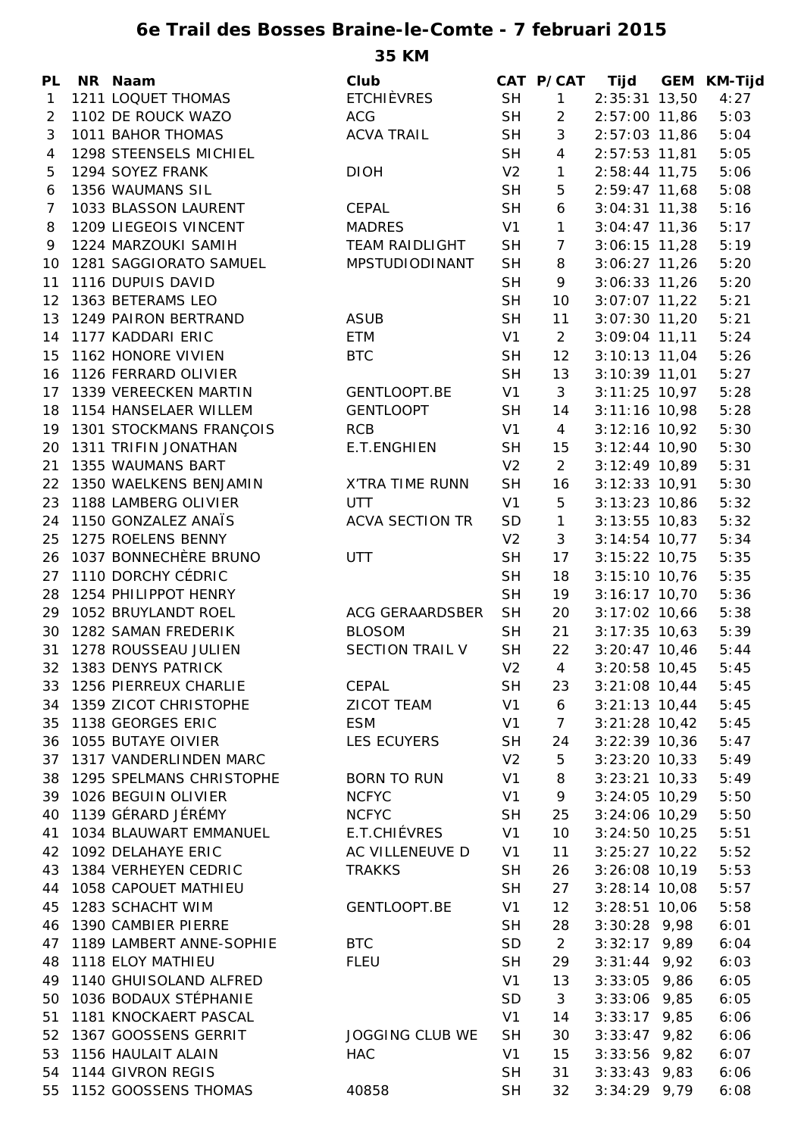## **6e Trail des Bosses Braine-le-Comte - 7 februari 2015**

**35 KM**

| PL           | NR Naam                     | Club                   |                | CAT P/CAT      | Tijd            | GEM KM-Tijd |
|--------------|-----------------------------|------------------------|----------------|----------------|-----------------|-------------|
| $\mathbf{1}$ | 1211 LOQUET THOMAS          | <b>ETCHIÈVRES</b>      | <b>SH</b>      | $\mathbf{1}$   | 2:35:31 13,50   | 4:27        |
| 2            | 1102 DE ROUCK WAZO          | <b>ACG</b>             | <b>SH</b>      | $\overline{2}$ | 2:57:00 11,86   | 5:03        |
| 3            | 1011 BAHOR THOMAS           | <b>ACVA TRAIL</b>      | <b>SH</b>      | 3              | 2:57:03 11,86   | 5:04        |
| 4            | 1298 STEENSELS MICHIEL      |                        | <b>SH</b>      | $\overline{4}$ | $2:57:53$ 11,81 | 5:05        |
| 5            | 1294 SOYEZ FRANK            | <b>DIOH</b>            | V <sub>2</sub> | $\mathbf{1}$   | 2:58:44 11,75   | 5:06        |
| 6            | 1356 WAUMANS SIL            |                        | <b>SH</b>      | 5              | 2:59:47 11,68   | 5:08        |
| 7            | 1033 BLASSON LAURENT        | <b>CEPAL</b>           | <b>SH</b>      | 6              | $3:04:31$ 11,38 | 5:16        |
| 8            | 1209 LIEGEOIS VINCENT       | <b>MADRES</b>          | V <sub>1</sub> | $\mathbf{1}$   | $3:04:47$ 11,36 | 5:17        |
| 9            | 1224 MARZOUKI SAMIH         | <b>TEAM RAIDLIGHT</b>  | <b>SH</b>      | $\overline{7}$ | $3:06:15$ 11,28 | 5:19        |
| 10           | 1281 SAGGIORATO SAMUEL      | MPSTUDIODINANT         | <b>SH</b>      | 8              | $3:06:27$ 11,26 | 5:20        |
| 11           | 1116 DUPUIS DAVID           |                        | <b>SH</b>      | 9              | $3:06:33$ 11,26 | 5:20        |
| 12           | 1363 BETERAMS LEO           |                        | <b>SH</b>      | 10             | $3:07:07$ 11,22 | 5:21        |
| 13           | 1249 PAIRON BERTRAND        | <b>ASUB</b>            | <b>SH</b>      | 11             | $3:07:30$ 11,20 | 5:21        |
| 14           | 1177 KADDARI ERIC           | <b>ETM</b>             | V <sub>1</sub> | $\overline{2}$ | $3:09:04$ 11,11 | 5:24        |
| 15           | 1162 HONORE VIVIEN          | <b>BTC</b>             | <b>SH</b>      | 12             | $3:10:13$ 11,04 | 5:26        |
| 16           | 1126 FERRARD OLIVIER        |                        | <b>SH</b>      | 13             | $3:10:39$ 11,01 | 5:27        |
| 17           | 1339 VEREECKEN MARTIN       | GENTLOOPT.BE           | V <sub>1</sub> | 3              | $3:11:25$ 10,97 | 5:28        |
| 18           | 1154 HANSELAER WILLEM       | <b>GENTLOOPT</b>       | <b>SH</b>      | 14             | $3:11:16$ 10,98 | 5:28        |
| 19           | 1301 STOCKMANS FRANÇOIS     | <b>RCB</b>             | V1             | $\overline{4}$ | $3:12:16$ 10,92 | 5:30        |
| 20           | 1311 TRIFIN JONATHAN        | E.T.ENGHIEN            | <b>SH</b>      | 15             | $3:12:44$ 10,90 | 5:30        |
| 21           | 1355 WAUMANS BART           |                        | V <sub>2</sub> | $\overline{2}$ | $3:12:49$ 10,89 | 5:31        |
| 22           | 1350 WAELKENS BENJAMIN      | X'TRA TIME RUNN        | <b>SH</b>      | 16             | $3:12:33$ 10,91 | 5:30        |
| 23           | 1188 LAMBERG OLIVIER        | <b>UTT</b>             | V <sub>1</sub> | $\mathbf 5$    | $3:13:23$ 10,86 | 5:32        |
| 24           | 1150 GONZALEZ ANAÏS         | <b>ACVA SECTION TR</b> | SD             | $\mathbf{1}$   | $3:13:55$ 10,83 | 5:32        |
| 25           | 1275 ROELENS BENNY          |                        | V <sub>2</sub> | $\mathfrak{Z}$ | $3:14:54$ 10,77 | 5:34        |
| 26           | 1037 BONNECHÈRE BRUNO       | <b>UTT</b>             | <b>SH</b>      | 17             | $3:15:22$ 10,75 | 5:35        |
| 27           | 1110 DORCHY CÉDRIC          |                        | <b>SH</b>      | 18             | $3:15:10$ 10,76 | 5:35        |
| 28           | 1254 PHILIPPOT HENRY        |                        | <b>SH</b>      | 19             | $3:16:17$ 10,70 | 5:36        |
| 29           | 1052 BRUYLANDT ROEL         | ACG GERAARDSBER        | <b>SH</b>      | 20             | $3:17:02$ 10,66 | 5:38        |
| 30           | 1282 SAMAN FREDERIK         | <b>BLOSOM</b>          | <b>SH</b>      | 21             | $3:17:35$ 10,63 | 5:39        |
| 31           | 1278 ROUSSEAU JULIEN        | <b>SECTION TRAIL V</b> | <b>SH</b>      | 22             | $3:20:47$ 10,46 | 5:44        |
|              | 32 1383 DENYS PATRICK       |                        | V <sub>2</sub> | $\overline{4}$ | $3:20:58$ 10,45 | 5:45        |
| 33           | 1256 PIERREUX CHARLIE       | CEPAL                  | <b>SH</b>      | 23             | $3:21:08$ 10,44 | 5:45        |
|              | 34 1359 ZICOT CHRISTOPHE    | ZICOT TEAM             | V <sub>1</sub> | 6              | $3:21:13$ 10,44 | 5:45        |
| 35           | 1138 GEORGES ERIC           | <b>ESM</b>             | V <sub>1</sub> | $\overline{7}$ | $3:21:28$ 10,42 | 5:45        |
|              | 36 1055 BUTAYE OIVIER       | LES ECUYERS            | <b>SH</b>      | 24             | $3:22:39$ 10,36 | 5:47        |
| 37           | 1317 VANDERLINDEN MARC      |                        | V <sub>2</sub> | 5              | $3:23:20$ 10,33 | 5:49        |
|              | 38 1295 SPELMANS CHRISTOPHE | <b>BORN TO RUN</b>     | V <sub>1</sub> | 8              | $3:23:21$ 10,33 | 5:49        |
| 39           | 1026 BEGUIN OLIVIER         | <b>NCFYC</b>           | V <sub>1</sub> | 9              | $3:24:05$ 10,29 | 5:50        |
| 40           | 1139 GÉRARD JÉRÉMY          | <b>NCFYC</b>           | <b>SH</b>      | 25             | $3:24:06$ 10,29 | 5:50        |
| 41           | 1034 BLAUWART EMMANUEL      | E.T.CHIÉVRES           | V <sub>1</sub> | 10             | $3:24:50$ 10,25 | 5:51        |
|              | 42 1092 DELAHAYE ERIC       | AC VILLENEUVE D        | V <sub>1</sub> | 11             | $3:25:27$ 10,22 | 5:52        |
| 43           | 1384 VERHEYEN CEDRIC        | <b>TRAKKS</b>          | <b>SH</b>      | 26             | $3:26:08$ 10,19 | 5:53        |
|              | 44 1058 CAPOUET MATHIEU     |                        | <b>SH</b>      | 27             | $3:28:14$ 10,08 | 5:57        |
| 45           | 1283 SCHACHT WIM            | GENTLOOPT.BE           | V1             | 12             | $3:28:51$ 10,06 | 5:58        |
| 46           | 1390 CAMBIER PIERRE         |                        | <b>SH</b>      | 28             | $3:30:28$ 9,98  | 6:01        |
| 47           | 1189 LAMBERT ANNE-SOPHIE    | <b>BTC</b>             | <b>SD</b>      | $\overline{2}$ | $3:32:17$ 9,89  | 6:04        |
| 48           | 1118 ELOY MATHIEU           | <b>FLEU</b>            | <b>SH</b>      | 29             | $3:31:44$ 9,92  | 6:03        |
|              | 49 1140 GHUISOLAND ALFRED   |                        | V <sub>1</sub> | 13             | $3:33:05$ 9,86  | 6:05        |
| 50           | 1036 BODAUX STÉPHANIE       |                        | SD             | 3              | $3:33:06$ 9,85  | 6:05        |
| 51           | 1181 KNOCKAERT PASCAL       |                        | V <sub>1</sub> | 14             | $3:33:17$ 9,85  | 6:06        |
| 52           | 1367 GOOSSENS GERRIT        | <b>JOGGING CLUB WE</b> | <b>SH</b>      | 30             | $3:33:47$ 9,82  | 6:06        |
| 53           | 1156 HAULAIT ALAIN          | <b>HAC</b>             | V <sub>1</sub> | 15             | $3:33:56$ 9,82  | 6:07        |
| 54           | 1144 GIVRON REGIS           |                        | <b>SH</b>      | 31             | $3:33:43$ 9,83  | 6:06        |
|              | 55 1152 GOOSSENS THOMAS     | 40858                  | <b>SH</b>      | 32             | $3:34:29$ 9,79  | 6:08        |
|              |                             |                        |                |                |                 |             |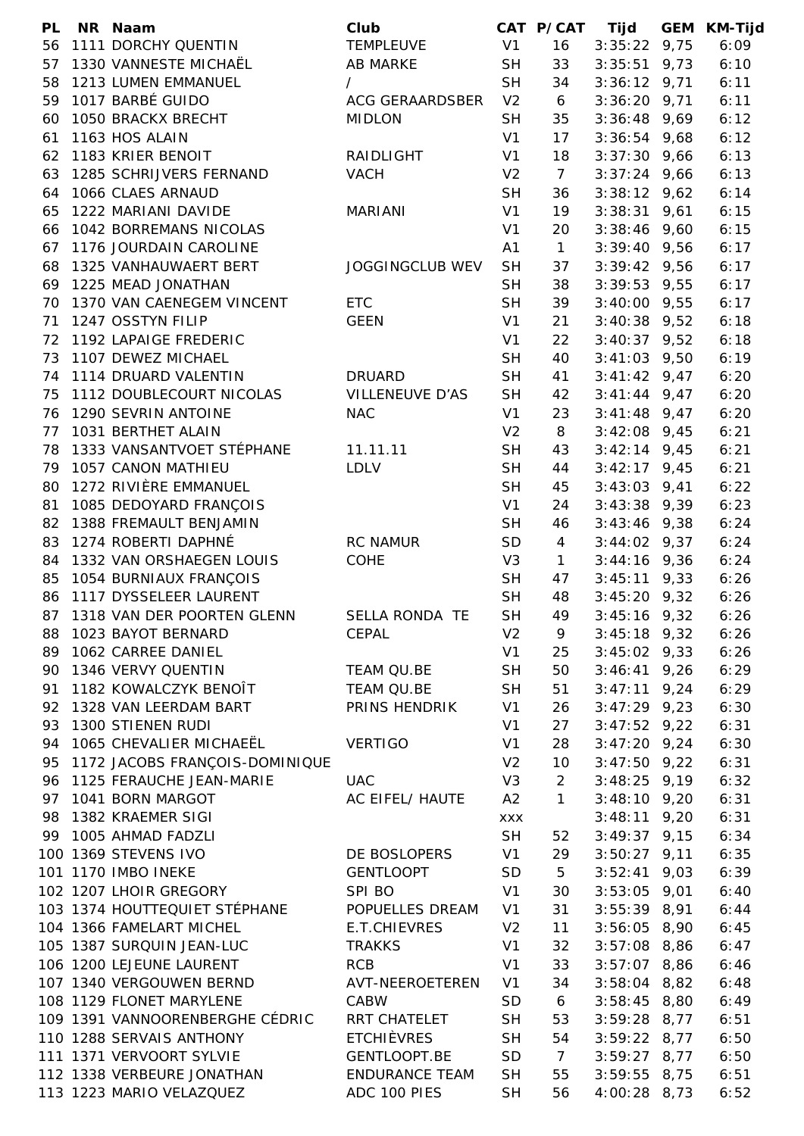| <b>PL</b> | NR Naam                         | Club                   |                | CAT P/CAT      | Tijd           | <b>GEM KM-Tijd</b> |
|-----------|---------------------------------|------------------------|----------------|----------------|----------------|--------------------|
| 56        | 1111 DORCHY QUENTIN             | <b>TEMPLEUVE</b>       | V <sub>1</sub> | 16             | $3:35:22$ 9,75 | 6:09               |
| 57        | 1330 VANNESTE MICHAËL           | <b>AB MARKE</b>        | <b>SH</b>      | 33             | $3:35:51$ 9,73 | 6:10               |
|           | 58 1213 LUMEN EMMANUEL          | $\prime$               | <b>SH</b>      | 34             | $3:36:12$ 9,71 | 6:11               |
|           | 59 1017 BARBÉ GUIDO             | ACG GERAARDSBER        | V <sub>2</sub> | 6              | $3:36:20$ 9,71 | 6:11               |
| 60        | 1050 BRACKX BRECHT              | <b>MIDLON</b>          | <b>SH</b>      | 35             | $3:36:48$ 9,69 | 6:12               |
| 61        | 1163 HOS ALAIN                  |                        | V <sub>1</sub> | 17             | $3:36:54$ 9,68 | 6:12               |
| 62        | 1183 KRIER BENOIT               | RAIDLIGHT              | V <sub>1</sub> | 18             | $3:37:30$ 9,66 | 6:13               |
| 63        | 1285 SCHRIJVERS FERNAND         | <b>VACH</b>            | V <sub>2</sub> | 7              | $3:37:24$ 9,66 | 6:13               |
|           | 64 1066 CLAES ARNAUD            |                        | <b>SH</b>      | 36             | $3:38:12$ 9,62 | 6:14               |
| 65        | 1222 MARIANI DAVIDE             | <b>MARIANI</b>         | V <sub>1</sub> | 19             | $3:38:31$ 9,61 | 6:15               |
| 66        | 1042 BORREMANS NICOLAS          |                        | V <sub>1</sub> | 20             | $3:38:46$ 9,60 | 6:15               |
| 67        | 1176 JOURDAIN CAROLINE          |                        | A1             | $\mathbf{1}$   | $3:39:40$ 9,56 | 6:17               |
| 68        | 1325 VANHAUWAERT BERT           | <b>JOGGINGCLUB WEV</b> | <b>SH</b>      | 37             | $3:39:42$ 9,56 | 6:17               |
|           | 69 1225 MEAD JONATHAN           |                        | <b>SH</b>      | 38             | $3:39:53$ 9,55 | 6:17               |
|           | 70 1370 VAN CAENEGEM VINCENT    | <b>ETC</b>             | <b>SH</b>      | 39             | $3:40:00$ 9,55 | 6:17               |
| 71        | 1247 OSSTYN FILIP               | <b>GEEN</b>            | V <sub>1</sub> | 21             | $3:40:38$ 9,52 | 6:18               |
|           | 72 1192 LAPAIGE FREDERIC        |                        | V <sub>1</sub> | 22             | $3:40:37$ 9,52 | 6:18               |
|           | 73 1107 DEWEZ MICHAEL           |                        | <b>SH</b>      | 40             | $3:41:03$ 9,50 | 6:19               |
|           | 74 1114 DRUARD VALENTIN         | DRUARD                 | <b>SH</b>      | 41             | $3:41:42$ 9,47 | 6:20               |
| 75        | 1112 DOUBLECOURT NICOLAS        | <b>VILLENEUVE D'AS</b> | <b>SH</b>      | 42             | $3:41:44$ 9,47 | 6:20               |
| 76        | 1290 SEVRIN ANTOINE             | <b>NAC</b>             | V <sub>1</sub> | 23             | $3:41:48$ 9,47 | 6:20               |
| 77        | 1031 BERTHET ALAIN              |                        | V <sub>2</sub> | 8              | $3:42:08$ 9,45 | 6:21               |
| 78        | 1333 VANSANTVOET STÉPHANE       | 11.11.11               | <b>SH</b>      | 43             | $3:42:14$ 9,45 | 6:21               |
| 79        | 1057 CANON MATHIEU              | <b>LDLV</b>            | <b>SH</b>      | 44             | $3:42:17$ 9,45 | 6:21               |
| 80        | 1272 RIVIÈRE EMMANUEL           |                        | <b>SH</b>      | 45             | $3:43:03$ 9,41 | 6:22               |
| 81        | 1085 DEDOYARD FRANÇOIS          |                        | V <sub>1</sub> | 24             | $3:43:38$ 9,39 | 6:23               |
| 82        | 1388 FREMAULT BENJAMIN          |                        | <b>SH</b>      | 46             | $3:43:46$ 9,38 | 6:24               |
| 83        | 1274 ROBERTI DAPHNÉ             | <b>RC NAMUR</b>        | <b>SD</b>      | 4              | $3:44:02$ 9,37 | 6:24               |
|           | 84 1332 VAN ORSHAEGEN LOUIS     | COHE                   | V <sub>3</sub> | $\mathbf{1}$   | $3:44:16$ 9,36 | 6:24               |
| 85        | 1054 BURNIAUX FRANÇOIS          |                        |                | 47             | $3:45:11$ 9,33 | 6:26               |
|           | 1117 DYSSELEER LAURENT          |                        | <b>SH</b>      |                |                |                    |
| 86        |                                 |                        | <b>SH</b>      | 48             | $3:45:20$ 9,32 | 6:26               |
|           | 87 1318 VAN DER POORTEN GLENN   | SELLA RONDA TE         | <b>SH</b>      | 49             | $3:45:16$ 9,32 | 6:26               |
| 88        | 1023 BAYOT BERNARD              | <b>CEPAL</b>           | V <sub>2</sub> | 9              | $3:45:18$ 9,32 | 6:26               |
|           | 89 1062 CARREE DANIEL           |                        | V1             | 25             | $3:45:02$ 9,33 | 6:26               |
|           | 90 1346 VERVY QUENTIN           | TEAM QU.BE             | <b>SH</b>      | 50             | $3:46:41$ 9,26 | 6:29               |
| 91        | 1182 KOWALCZYK BENOÎT           | TEAM QU.BE             | <b>SH</b>      | 51             | $3:47:11$ 9,24 | 6:29               |
| 92        | 1328 VAN LEERDAM BART           | PRINS HENDRIK          | V <sub>1</sub> | 26             | $3:47:29$ 9,23 | 6:30               |
| 93        | 1300 STIENEN RUDI               |                        | V <sub>1</sub> | 27             | $3:47:52$ 9,22 | 6:31               |
| 94        | 1065 CHEVALIER MICHAEËL         | <b>VERTIGO</b>         | V <sub>1</sub> | 28             | $3:47:20$ 9,24 | 6:30               |
| 95        | 1172 JACOBS FRANÇOIS-DOMINIQUE  |                        | V <sub>2</sub> | 10             | $3:47:50$ 9,22 | 6:31               |
|           | 96 1125 FERAUCHE JEAN-MARIE     | <b>UAC</b>             | V3             | 2              | $3:48:25$ 9,19 | 6:32               |
| 97        | 1041 BORN MARGOT                | AC EIFEL/ HAUTE        | A2             | $\mathbf{1}$   | $3:48:10$ 9,20 | 6:31               |
| 98        | 1382 KRAEMER SIGI               |                        | <b>XXX</b>     |                | $3:48:11$ 9,20 | 6:31               |
| 99        | 1005 AHMAD FADZLI               |                        | <b>SH</b>      | 52             | $3:49:37$ 9,15 | 6:34               |
|           | 100 1369 STEVENS IVO            | DE BOSLOPERS           | V <sub>1</sub> | 29             | $3:50:27$ 9,11 | 6:35               |
|           | 101 1170 IMBO INEKE             | <b>GENTLOOPT</b>       | <b>SD</b>      | 5              | $3:52:41$ 9,03 | 6:39               |
|           | 102 1207 LHOIR GREGORY          | SPI BO                 | V <sub>1</sub> | 30             | $3:53:05$ 9,01 | 6:40               |
|           | 103 1374 HOUTTEQUIET STÉPHANE   | POPUELLES DREAM        | V <sub>1</sub> | 31             | $3:55:39$ 8,91 | 6:44               |
|           | 104 1366 FAMELART MICHEL        | E.T.CHIEVRES           | V <sub>2</sub> | 11             | $3:56:05$ 8,90 | 6:45               |
|           | 105 1387 SURQUIN JEAN-LUC       | <b>TRAKKS</b>          | V <sub>1</sub> | 32             | $3:57:08$ 8,86 | 6:47               |
|           | 106 1200 LEJEUNE LAURENT        | <b>RCB</b>             | V <sub>1</sub> | 33             | $3:57:07$ 8,86 | 6:46               |
|           | 107 1340 VERGOUWEN BERND        | AVT-NEEROETEREN        | V1             | 34             | $3:58:04$ 8,82 | 6:48               |
|           | 108 1129 FLONET MARYLENE        | CABW                   | <b>SD</b>      | 6              | $3:58:45$ 8,80 | 6:49               |
|           | 109 1391 VANNOORENBERGHE CÉDRIC | RRT CHATELET           | <b>SH</b>      | 53             | $3:59:28$ 8,77 | 6:51               |
|           | 110 1288 SERVAIS ANTHONY        | <b>ETCHIÈVRES</b>      | <b>SH</b>      | 54             | $3:59:22$ 8,77 | 6:50               |
|           | 111 1371 VERVOORT SYLVIE        | GENTLOOPT.BE           | SD             | $\overline{7}$ | $3:59:27$ 8,77 | 6:50               |
|           | 112 1338 VERBEURE JONATHAN      | <b>ENDURANCE TEAM</b>  | <b>SH</b>      | 55             | $3:59:55$ 8,75 | 6:51               |
|           | 113 1223 MARIO VELAZQUEZ        | ADC 100 PIES           | <b>SH</b>      | 56             | $4:00:28$ 8,73 | 6:52               |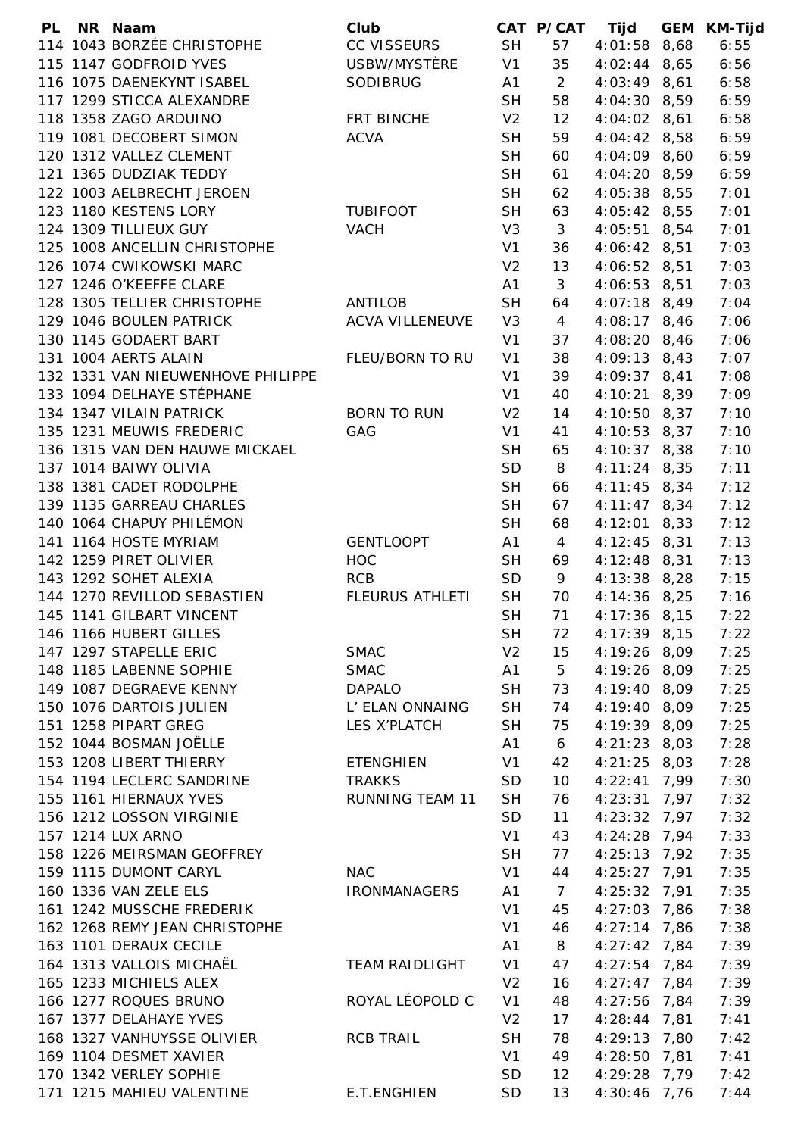| PL | NR Naam                           | Club                   |                | CAT P/CAT      | Tijd                         | <b>GEM KM-Tijd</b> |
|----|-----------------------------------|------------------------|----------------|----------------|------------------------------|--------------------|
|    | 114 1043 BORZÉE CHRISTOPHE        | <b>CC VISSEURS</b>     | <b>SH</b>      | 57             | $4:01:58$ $8,68$             | 6:55               |
|    | 115 1147 GODFROID YVES            | USBW/MYSTÈRE           | V1             | 35             | $4:02:44$ 8,65               | 6:56               |
|    | 116 1075 DAENEKYNT ISABEL         | <b>SODIBRUG</b>        | A1             | $\overline{2}$ | $4:03:49$ 8,61               | 6:58               |
|    | 117 1299 STICCA ALEXANDRE         |                        | <b>SH</b>      | 58             | 4:04:30 8,59                 | 6:59               |
|    | 118 1358 ZAGO ARDUINO             | FRT BINCHE             | V <sub>2</sub> | 12             | $4:04:02$ 8,61               | 6:58               |
|    | 119 1081 DECOBERT SIMON           | <b>ACVA</b>            | <b>SH</b>      | 59             | $4:04:42$ 8,58               | 6:59               |
|    | 120 1312 VALLEZ CLEMENT           |                        | <b>SH</b>      | 60             | 4:04:09 8,60                 | 6:59               |
|    | 121 1365 DUDZIAK TEDDY            |                        | <b>SH</b>      | 61             | $4:04:20$ 8,59               | 6:59               |
|    | 122 1003 AELBRECHT JEROEN         |                        | <b>SH</b>      | 62             | $4:05:38$ $8,55$             | 7:01               |
|    | 123 1180 KESTENS LORY             | <b>TUBIFOOT</b>        | <b>SH</b>      | 63             | $4:05:42$ 8,55               | 7:01               |
|    | 124 1309 TILLIEUX GUY             | <b>VACH</b>            | V <sub>3</sub> | 3              | $4:05:51$ 8,54               | 7:01               |
|    | 125 1008 ANCELLIN CHRISTOPHE      |                        | V <sub>1</sub> | 36             | $4:06:42$ 8,51               | 7:03               |
|    | 126 1074 CWIKOWSKI MARC           |                        | V <sub>2</sub> | 13             | $4:06:52$ 8,51               | 7:03               |
|    | 127 1246 O'KEEFFE CLARE           |                        | A1             | 3              | 4:06:53 8,51                 | 7:03               |
|    | 128 1305 TELLIER CHRISTOPHE       | <b>ANTILOB</b>         | <b>SH</b>      | 64             | $4:07:18$ 8,49               | 7:04               |
|    | 129 1046 BOULEN PATRICK           | <b>ACVA VILLENEUVE</b> | V <sub>3</sub> | $\overline{4}$ | $4:08:17$ 8,46               | 7:06               |
|    | 130 1145 GODAERT BART             |                        | V <sub>1</sub> | 37             | 4:08:20 8,46                 | 7:06               |
|    | 131 1004 AERTS ALAIN              | FLEU/BORN TO RU        | V <sub>1</sub> | 38             | $4:09:13$ 8,43               | 7:07               |
|    | 132 1331 VAN NIEUWENHOVE PHILIPPE |                        | V <sub>1</sub> | 39             | 4:09:37 8,41                 | 7:08               |
|    | 133 1094 DELHAYE STÉPHANE         |                        | V <sub>1</sub> | 40             | 4:10:21 8,39                 | 7:09               |
|    | 134 1347 VILAIN PATRICK           | <b>BORN TO RUN</b>     | V <sub>2</sub> | 14             | $4:10:50$ 8,37               | 7:10               |
|    | 135 1231 MEUWIS FREDERIC          | GAG                    | V <sub>1</sub> | 41             | $4:10:53$ 8,37               | 7:10               |
|    | 136 1315 VAN DEN HAUWE MICKAEL    |                        | <b>SH</b>      | 65             | 4:10:37 8,38                 | 7:10               |
|    | 137 1014 BAIWY OLIVIA             |                        | <b>SD</b>      | 8              | $4:11:24$ 8,35               | 7:11               |
|    | 138 1381 CADET RODOLPHE           |                        | <b>SH</b>      | 66             | $4:11:45$ 8,34               | 7:12               |
|    | 139 1135 GARREAU CHARLES          |                        | <b>SH</b>      | 67             | $4:11:47$ 8,34               | 7:12               |
|    | 140 1064 CHAPUY PHILÉMON          |                        | <b>SH</b>      | 68             | $4:12:01$ 8,33               | 7:12               |
|    | 141 1164 HOSTE MYRIAM             | <b>GENTLOOPT</b>       | A <sub>1</sub> | $\overline{4}$ | $4:12:45$ 8,31               | 7:13               |
|    | 142 1259 PIRET OLIVIER            | <b>HOC</b>             | <b>SH</b>      | 69             | $4:12:48$ 8,31               | 7:13               |
|    | 143 1292 SOHET ALEXIA             | <b>RCB</b>             | <b>SD</b>      | 9              | 4:13:38 8,28                 | 7:15               |
|    | 144 1270 REVILLOD SEBASTIEN       | <b>FLEURUS ATHLETI</b> | <b>SH</b>      | 70             | $4:14:36$ 8,25               | 7:16               |
|    | 145 1141 GILBART VINCENT          |                        | <b>SH</b>      | 71             | $4:17:36$ 8,15               | 7:22               |
|    | 146 1166 HUBERT GILLES            |                        | <b>SH</b>      | 72             |                              | 7:22               |
|    | 147 1297 STAPELLE ERIC            | <b>SMAC</b>            | V <sub>2</sub> |                | $4:17:39$ 8,15               | 7:25               |
|    |                                   |                        |                | 15<br>5        | 4:19:26 8,09<br>4:19:26 8,09 |                    |
|    | 148 1185 LABENNE SOPHIE           | <b>SMAC</b>            | A1             |                |                              | 7:25               |
|    | 149 1087 DEGRAEVE KENNY           | <b>DAPALO</b>          | <b>SH</b>      | 73             | 4:19:40 8,09                 | 7:25               |
|    | 150 1076 DARTOIS JULIEN           | L' ELAN ONNAING        | <b>SH</b>      | 74             | 4:19:40 8,09                 | 7:25               |
|    | 151 1258 PIPART GREG              | LES X'PLATCH           | <b>SH</b>      | 75             | 4:19:39 8,09                 | 7:25               |
|    | 152 1044 BOSMAN JOËLLE            |                        | A1             | 6              | $4:21:23$ 8,03               | 7:28               |
|    | 153 1208 LIBERT THIERRY           | <b>ETENGHIEN</b>       | V <sub>1</sub> | 42             | $4:21:25$ 8,03               | 7:28               |
|    | 154 1194 LECLERC SANDRINE         | <b>TRAKKS</b>          | <b>SD</b>      | 10             | $4:22:41$ 7,99               | 7:30               |
|    | 155 1161 HIERNAUX YVES            | <b>RUNNING TEAM 11</b> | <b>SH</b>      | 76             | $4:23:31$ 7,97               | 7:32               |
|    | 156 1212 LOSSON VIRGINIE          |                        | <b>SD</b>      | 11             | $4:23:32$ 7,97               | 7:32               |
|    | 157 1214 LUX ARNO                 |                        | V <sub>1</sub> | 43             | $4:24:28$ 7,94               | 7:33               |
|    | 158 1226 MEIRSMAN GEOFFREY        |                        | <b>SH</b>      | 77             | $4:25:13$ 7,92               | 7:35               |
|    | 159 1115 DUMONT CARYL             | <b>NAC</b>             | V <sub>1</sub> | 44             | $4:25:27$ 7,91               | 7:35               |
|    | 160 1336 VAN ZELE ELS             | <b>IRONMANAGERS</b>    | A1             | $\overline{7}$ | $4:25:32$ 7,91               | 7:35               |
|    | 161 1242 MUSSCHE FREDERIK         |                        | V <sub>1</sub> | 45             | $4:27:03$ 7,86               | 7:38               |
|    | 162 1268 REMY JEAN CHRISTOPHE     |                        | V <sub>1</sub> | 46             | $4:27:14$ 7,86               | 7:38               |
|    | 163 1101 DERAUX CECILE            |                        | A <sub>1</sub> | 8              | $4:27:42$ 7,84               | 7:39               |
|    | 164 1313 VALLOIS MICHAËL          | <b>TEAM RAIDLIGHT</b>  | V <sub>1</sub> | 47             | $4:27:54$ 7,84               | 7:39               |
|    | 165 1233 MICHIELS ALEX            |                        | V <sub>2</sub> | 16             | $4:27:47$ 7,84               | 7:39               |
|    | 166 1277 ROQUES BRUNO             | ROYAL LÉOPOLD C        | V <sub>1</sub> | 48             | $4:27:56$ 7,84               | 7:39               |
|    | 167 1377 DELAHAYE YVES            |                        | V <sub>2</sub> | 17             | $4:28:44$ 7,81               | 7:41               |
|    | 168 1327 VANHUYSSE OLIVIER        | <b>RCB TRAIL</b>       | <b>SH</b>      | 78             | 4:29:13 7,80                 | 7:42               |
|    | 169 1104 DESMET XAVIER            |                        | V <sub>1</sub> | 49             | 4:28:50 7,81                 | 7:41               |
|    | 170 1342 VERLEY SOPHIE            |                        | <b>SD</b>      | 12             | $4:29:28$ 7,79               | 7:42               |
|    | 171 1215 MAHIEU VALENTINE         | E.T.ENGHIEN            | <b>SD</b>      | 13             | $4:30:46$ 7,76               | 7:44               |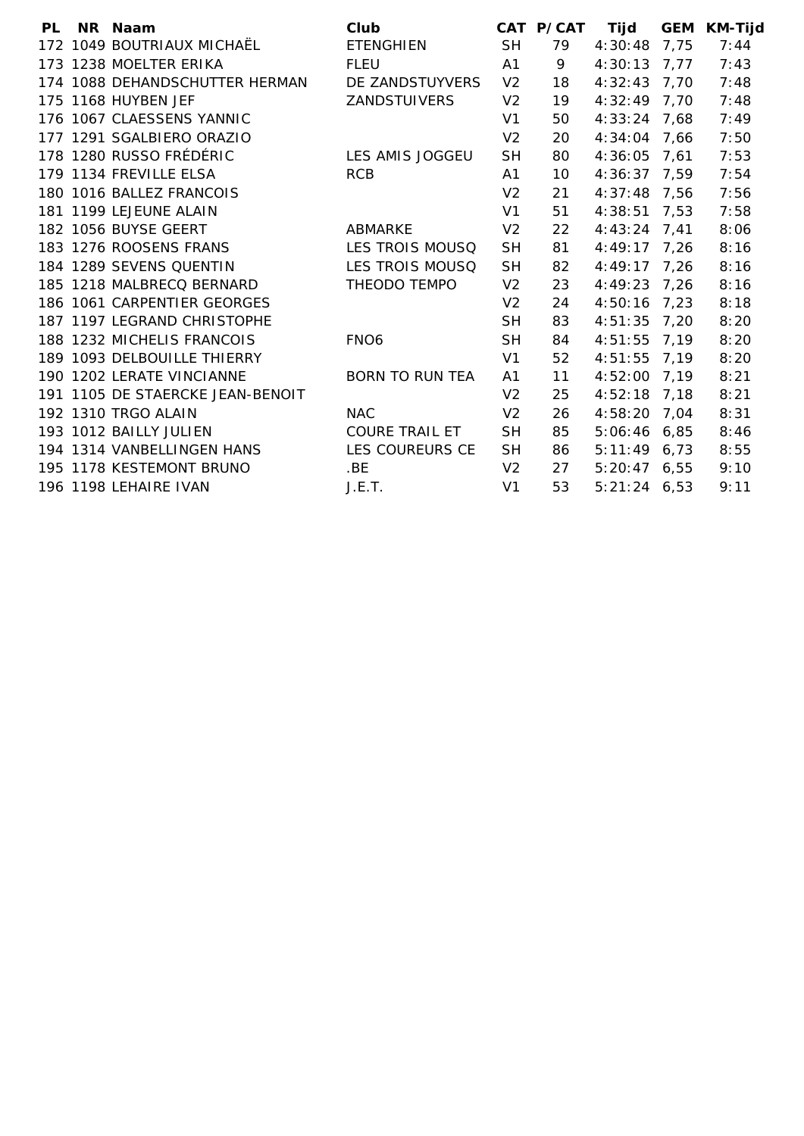| <b>PL</b> | NR Naam                          | Club                   |                | CAT P/CAT | <b>Tijd</b>    | <b>GEM</b> | <b>KM-Tijd</b> |
|-----------|----------------------------------|------------------------|----------------|-----------|----------------|------------|----------------|
|           | 172 1049 BOUTRIAUX MICHAËL       | <b>ETENGHIEN</b>       | <b>SH</b>      | 79        | 4:30:48        | 7,75       | 7:44           |
|           | 173 1238 MOELTER ERIKA           | <b>FLEU</b>            | A <sub>1</sub> | 9         | $4:30:13$ 7,77 |            | 7:43           |
|           | 174 1088 DEHANDSCHUTTER HERMAN   | DE ZANDSTUYVERS        | V <sub>2</sub> | 18        | $4:32:43$ 7,70 |            | 7:48           |
|           | 175 1168 HUYBEN JEF              | ZANDSTUIVERS           | V <sub>2</sub> | 19        | $4:32:49$ 7,70 |            | 7:48           |
|           | 176 1067 CLAESSENS YANNIC        |                        | V <sub>1</sub> | 50        | $4:33:24$ 7,68 |            | 7:49           |
|           | 177 1291 SGALBIERO ORAZIO        |                        | V <sub>2</sub> | 20        | 4:34:04        | 7,66       | 7:50           |
|           | 178 1280 RUSSO FRÉDÉRIC          | LES AMIS JOGGEU        | <b>SH</b>      | 80        | 4:36:05        | 7,61       | 7:53           |
|           | 179 1134 FREVILLE ELSA           | <b>RCB</b>             | A1             | 10        | $4:36:37$ 7,59 |            | 7:54           |
|           | 180 1016 BALLEZ FRANCOIS         |                        | V <sub>2</sub> | 21        | $4:37:48$ 7,56 |            | 7:56           |
|           | 181 1199 LEJEUNE ALAIN           |                        | V <sub>1</sub> | 51        | 4:38:51        | 7,53       | 7:58           |
|           | 182 1056 BUYSE GEERT             | ABMARKE                | V <sub>2</sub> | 22        | $4:43:24$ 7.41 |            | 8:06           |
|           | 183 1276 ROOSENS FRANS           | LES TROIS MOUSQ        | <b>SH</b>      | 81        | $4:49:17$ 7,26 |            | 8:16           |
|           | 184 1289 SEVENS QUENTIN          | LES TROIS MOUSQ        | <b>SH</b>      | 82        | 4:49:17        | 7,26       | 8:16           |
|           | 185 1218 MALBRECQ BERNARD        | THEODO TEMPO           | V <sub>2</sub> | 23        | $4:49:23$ 7,26 |            | 8:16           |
|           | 186 1061 CARPENTIER GEORGES      |                        | V <sub>2</sub> | 24        | 4:50:16        | 7,23       | 8:18           |
|           | 187 1197 LEGRAND CHRISTOPHE      |                        | <b>SH</b>      | 83        | $4:51:35$ 7,20 |            | 8:20           |
|           | 188 1232 MICHELIS FRANCOIS       | FNO <sub>6</sub>       | <b>SH</b>      | 84        | $4:51:55$ 7,19 |            | 8:20           |
|           | 189 1093 DELBOUILLE THIERRY      |                        | V <sub>1</sub> | 52        | $4:51:55$ 7,19 |            | 8:20           |
|           | 190 1202 LERATE VINCIANNE        | <b>BORN TO RUN TEA</b> | A1             | 11        | 4:52:00 7,19   |            | 8:21           |
|           | 191 1105 DE STAERCKE JEAN-BENOIT |                        | V <sub>2</sub> | 25        | $4:52:18$ 7,18 |            | 8:21           |
|           | 192 1310 TRGO ALAIN              | <b>NAC</b>             | V <sub>2</sub> | 26        | 4:58:20 7,04   |            | 8:31           |
|           | 193 1012 BAILLY JULIEN           | <b>COURE TRAIL ET</b>  | <b>SH</b>      | 85        | 5:06:46 6,85   |            | 8:46           |
|           | 194 1314 VANBELLINGEN HANS       | LES COUREURS CE        | <b>SH</b>      | 86        | $5:11:49$ 6,73 |            | 8:55           |
|           | 195 1178 KESTEMONT BRUNO         | .BE                    | V <sub>2</sub> | 27        | $5:20:47$ 6,55 |            | 9:10           |
|           | 196 1198 LEHAIRE IVAN            | J.E.T.                 | V <sub>1</sub> | 53        | $5:21:24$ 6,53 |            | 9:11           |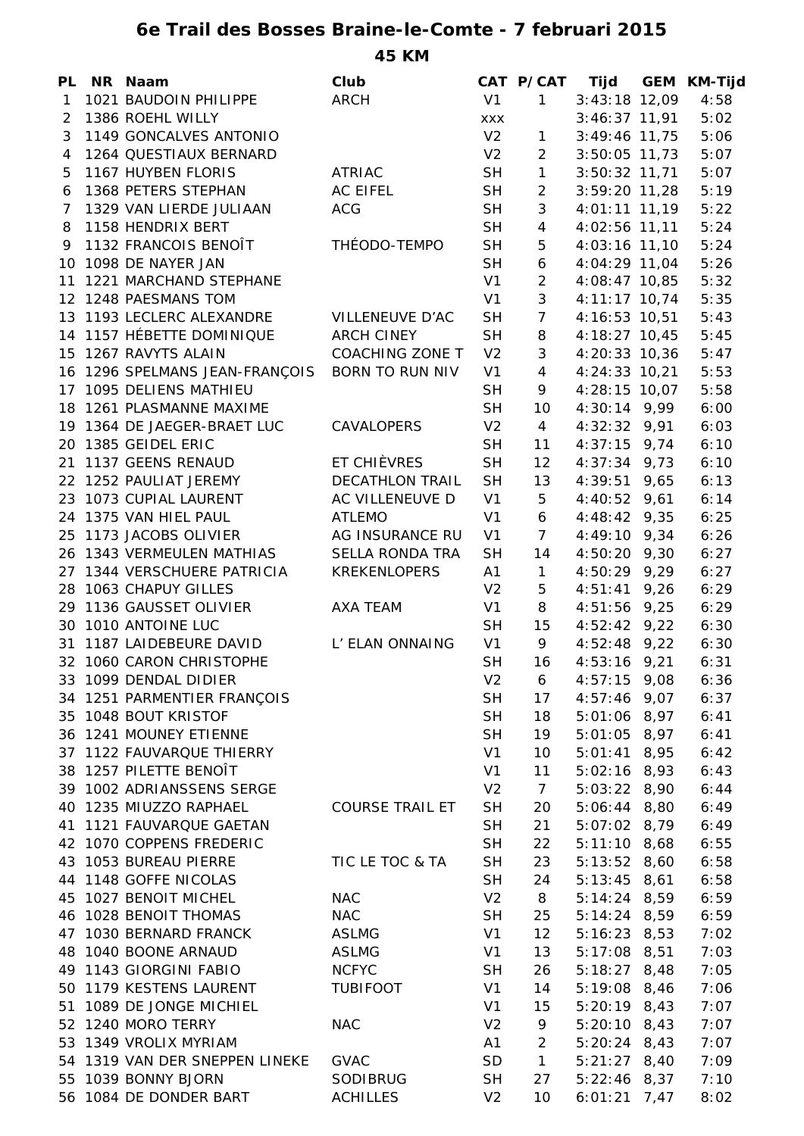**6e Trail des Bosses Braine-le-Comte - 7 februari 2015 45 KM**

**PL NR Naam Club CAT P/CAT Tijd GEM KM-Tijd** 1 1021 BAUDOIN PHILIPPE ARCH V1 1 3:43:18 12,09 4:58 2 1386 ROEHL WILLY xxx 3:46:37 11,91 5:02 3 1149 GONCALVES ANTONIO V2 1 3:49:46 11,75 5:06 4 1264 QUESTIAUX BERNARD V2 2 3:50:05 11,73 5:07 5 1167 HUYBEN FLORIS ATRIAC SH 1 3:50:32 11,71 5:07 6 1368 PETERS STEPHAN AC EIFEL SH 2 3:59:20 11,28 5:19 7 1329 VAN LIERDE JULIAAN ACG SH 3 4:01:11 11,19 5:22 8 1158 HENDRIX BERT SH 4 4:02:56 11,11 5:24 9 1132 FRANCOIS BENOÎT THÉODO-TEMPO SH 5 4:03:16 11,10 5:24 10 1098 DE NAYER JAN SH 6 4:04:29 11,04 5:26 11 1221 MARCHAND STEPHANE V1 2 4:08:47 10,85 5:32 12 1248 PAESMANS TOM V1 3 4:11:17 10,74 5:35 13 1193 LECLERC ALEXANDRE VILLENEUVE D'AC SH 7 4:16:53 10,51 5:43 14 1157 HÉBETTE DOMINIQUE ARCH CINEY SH 8 4:18:27 10,45 5:45 15 1267 RAVYTS ALAIN COACHING ZONE T V2 3 4:20:33 10,36 5:47 16 1296 SPELMANS JEAN-FRANÇOIS BORN TO RUN NIV V1 4 4:24:33 10,21 5:53 17 1095 DELIENS MATHIEU SH 9 4:28:15 10,07 5:58 18 1261 PLASMANNE MAXIME SH 10 4:30:14 9,99 6:00 19 1364 DE JAEGER-BRAET LUC CAVALOPERS V2 4 4:32:32 9,91 6:03 20 1385 GEIDEL ERIC SH 11 4:37:15 9,74 6:10 21 1137 GEENS RENAUD ET CHIÈVRES SH 12 4:37:34 9,73 6:10 22 1252 PAULIAT JEREMY DECATHLON TRAIL SH 13 4:39:51 9,65 6:13 23 1073 CUPIAL LAURENT AC VILLENEUVE D V1 5 4:40:52 9,61 6:14 24 1375 VAN HIEL PAUL ATLEMO V1 6 4:48:42 9,35 6:25 25 1173 JACOBS OLIVIER AG INSURANCE RU V1 7 4:49:10 9,34 6:26 26 1343 VERMEULEN MATHIAS SELLA RONDA TRA SH 14 4:50:20 9,30 6:27 27 1344 VERSCHUERE PATRICIA KREKENLOPERS A1 1 4:50:29 9,29 6:27 28 1063 CHAPUY GILLES V2 5 4:51:41 9,26 6:29 29 1136 GAUSSET OLIVIER AXA TEAM V1 8 4:51:56 9,25 6:29 30 1010 ANTOINE LUC **SH 15 4:52:42 9,22 6:30** 31 1187 LAIDEBEURE DAVID L' ELAN ONNAING V1 9 4:52:48 9,22 6:30 32 1060 CARON CHRISTOPHE SH 16 4:53:16 9,21 6:31 33 1099 DENDAL DIDIER V2 6 4:57:15 9,08 6:36 34 1251 PARMENTIER FRANÇOIS SH 17 4:57:46 9,07 6:37 35 1048 BOUT KRISTOF SH 18 5:01:06 8,97 6:41 36 1241 MOUNEY ETIENNE SH 19 5:01:05 8,97 6:41 37 1122 FAUVARQUE THIERRY V1 10 5:01:41 8,95 6:42 38 1257 PILETTE BENOÎT V1 11 5:02:16 8,93 6:43 39 1002 ADRIANSSENS SERGE V2 7 5:03:22 8,90 6:44 40 1235 MIUZZO RAPHAEL COURSE TRAIL ET SH 20 5:06:44 8,80 6:49 41 1121 FAUVARQUE GAETAN SH 21 5:07:02 8,79 6:49 42 1070 COPPENS FREDERIC SH 22 5:11:10 8,68 6:55 43 1053 BUREAU PIERRE TIC LE TOC & TA SH 23 5:13:52 8,60 6:58 44 1148 GOFFE NICOLAS SH 24 5:13:45 8,61 6:58 45 1027 BENOIT MICHEL NAC V2 8 5:14:24 8,59 6:59 46 1028 BENOIT THOMAS NAC SH 25 5:14:24 8,59 6:59 47 1030 BERNARD FRANCK ASLMG V1 12 5:16:23 8,53 7:02 48 1040 BOONE ARNAUD ASLMG V1 13 5:17:08 8,51 7:03 49 1143 GIORGINI FABIO NCFYC SH 26 5:18:27 8,48 7:05 50 1179 KESTENS LAURENT TUBIFOOT V1 14 5:19:08 8,46 7:06 51 1089 DE JONGE MICHIEL V1 15 5:20:19 8,43 7:07 52 1240 MORO TERRY NAC V2 9 5:20:10 8,43 7:07 53 1349 VROLIX MYRIAM A1 2 5:20:24 8,43 7:07 54 1319 VAN DER SNEPPEN LINEKE GVAC SD 1 5:21:27 8,40 7:09 55 1039 BONNY BJORN SODIBRUG SH 27 5:22:46 8,37 7:10 56 1084 DE DONDER BART ACHILLES V2 10 6:01:21 7,47 8:02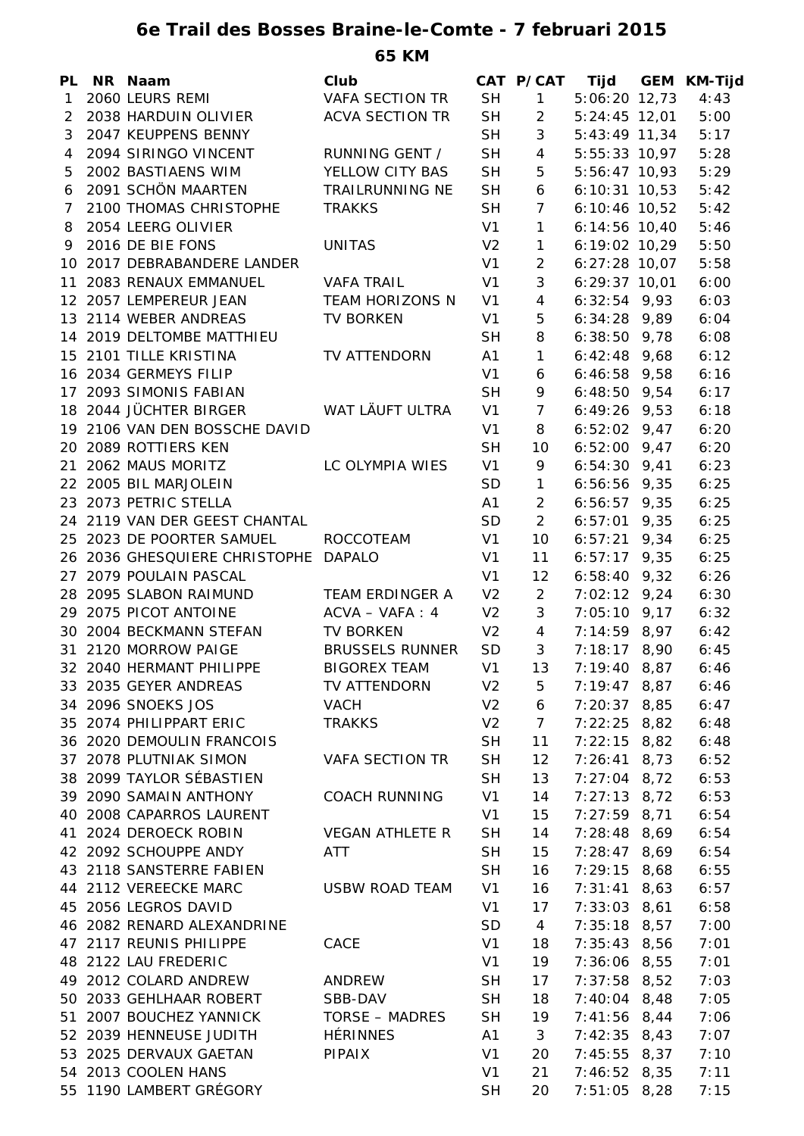## **6e Trail des Bosses Braine-le-Comte - 7 februari 2015 65 KM**

| PL           | NR Naam                       | Club                   |                | CAT P/CAT       | <b>Tijd</b>     | <b>GEM KM-Tijd</b> |
|--------------|-------------------------------|------------------------|----------------|-----------------|-----------------|--------------------|
| $\mathbf{1}$ | 2060 LEURS REMI               | <b>VAFA SECTION TR</b> | <b>SH</b>      | 1               | 5:06:20 12,73   | 4:43               |
| 2            | 2038 HARDUIN OLIVIER          | <b>ACVA SECTION TR</b> | <b>SH</b>      | $\overline{2}$  | $5:24:45$ 12,01 | 5:00               |
| 3            | 2047 KEUPPENS BENNY           |                        | <b>SH</b>      | 3               | $5:43:49$ 11,34 | 5:17               |
| 4            | 2094 SIRINGO VINCENT          | RUNNING GENT /         | <b>SH</b>      | $\overline{4}$  | $5:55:33$ 10,97 | 5:28               |
| 5            | 2002 BASTIAENS WIM            | YELLOW CITY BAS        | <b>SH</b>      | 5               | 5:56:47 10,93   | 5:29               |
| 6            | 2091 SCHÖN MAARTEN            | <b>TRAILRUNNING NE</b> | <b>SH</b>      | 6               | $6:10:31$ 10,53 | 5:42               |
| 7            | 2100 THOMAS CHRISTOPHE        | <b>TRAKKS</b>          | <b>SH</b>      | $7\overline{ }$ | 6:10:46 10,52   | 5:42               |
| 8            | 2054 LEERG OLIVIER            |                        | V1             | $\mathbf{1}$    | $6:14:56$ 10,40 | 5:46               |
| 9            | 2016 DE BIE FONS              | <b>UNITAS</b>          | V <sub>2</sub> | $\mathbf{1}$    | $6:19:02$ 10,29 | 5:50               |
|              | 10 2017 DEBRABANDERE LANDER   |                        | V <sub>1</sub> | $\overline{2}$  | $6:27:28$ 10,07 | 5:58               |
|              | 11 2083 RENAUX EMMANUEL       | VAFA TRAIL             | V <sub>1</sub> | $\mathbf{3}$    | $6:29:37$ 10,01 | 6:00               |
|              | 12 2057 LEMPEREUR JEAN        | <b>TEAM HORIZONS N</b> | V <sub>1</sub> | $\overline{4}$  | $6:32:54$ 9,93  | 6:03               |
|              | 13 2114 WEBER ANDREAS         | <b>TV BORKEN</b>       | V <sub>1</sub> | 5               | $6:34:28$ 9,89  | 6:04               |
|              | 14 2019 DELTOMBE MATTHIEU     |                        | <b>SH</b>      | 8               | $6:38:50$ 9,78  | 6:08               |
|              | 15 2101 TILLE KRISTINA        | TV ATTENDORN           | A1             | $\mathbf{1}$    | $6:42:48$ 9,68  | 6:12               |
|              | 16 2034 GERMEYS FILIP         |                        | V <sub>1</sub> | 6               | $6:46:58$ 9,58  | 6:16               |
|              | 17 2093 SIMONIS FABIAN        |                        | <b>SH</b>      | 9               | $6:48:50$ 9,54  | 6:17               |
|              | 18 2044 JÜCHTER BIRGER        | WAT LÄUFT ULTRA        | V <sub>1</sub> | $\overline{7}$  | $6:49:26$ 9,53  | 6:18               |
|              | 19 2106 VAN DEN BOSSCHE DAVID |                        | V <sub>1</sub> | 8               | $6:52:02$ 9,47  | 6:20               |
|              | 20 2089 ROTTIERS KEN          |                        | <b>SH</b>      | 10              | $6:52:00$ 9,47  | 6:20               |
|              | 21 2062 MAUS MORITZ           | LC OLYMPIA WIES        | V1             | 9               | $6:54:30$ 9,41  | 6:23               |
|              | 22 2005 BIL MARJOLEIN         |                        | SD             | $\mathbf{1}$    | $6:56:56$ 9,35  | 6:25               |
|              | 23 2073 PETRIC STELLA         |                        | A1             | $\overline{2}$  | $6:56:57$ 9,35  | 6:25               |
|              | 24 2119 VAN DER GEEST CHANTAL |                        | <b>SD</b>      | $\overline{2}$  | $6:57:01$ 9,35  | 6:25               |
|              | 25 2023 DE POORTER SAMUEL     | ROCCOTEAM              | V <sub>1</sub> | 10 <sup>°</sup> | $6:57:21$ 9,34  | 6:25               |
|              | 26 2036 GHESQUIERE CHRISTOPHE | <b>DAPALO</b>          | V <sub>1</sub> | 11              | $6:57:17$ 9,35  | 6:25               |
|              | 27 2079 POULAIN PASCAL        |                        | V <sub>1</sub> | 12              | $6:58:40$ 9,32  | 6:26               |
|              | 28 2095 SLABON RAIMUND        | <b>TEAM ERDINGER A</b> | V <sub>2</sub> | $\overline{2}$  | $7:02:12$ 9,24  | 6:30               |
|              | 29 2075 PICOT ANTOINE         | $ACVA - VAFA : 4$      | V <sub>2</sub> | 3               | $7:05:10$ 9,17  | 6:32               |
|              | 30 2004 BECKMANN STEFAN       | <b>TV BORKEN</b>       | V <sub>2</sub> | $4\overline{ }$ | $7:14:59$ 8,97  | 6:42               |
|              | 31 2120 MORROW PAIGE          | <b>BRUSSELS RUNNER</b> | SD             | 3 <sup>7</sup>  | $7:18:17$ 8,90  | 6:45               |
|              | 32 2040 HERMANT PHILIPPE      | <b>BIGOREX TEAM</b>    | V <sub>1</sub> | 13              | $7:19:40$ 8,87  | 6:46               |
|              | 33 2035 GEYER ANDREAS         | TV ATTENDORN           | V <sub>2</sub> | 5               | $7:19:47$ 8,87  | 6:46               |
|              | 34 2096 SNOEKS JOS            | <b>VACH</b>            | V <sub>2</sub> | 6               | $7:20:37$ 8,85  | 6:47               |
|              | 35 2074 PHILIPPART ERIC       | <b>TRAKKS</b>          | V <sub>2</sub> | 7 <sup>7</sup>  | $7:22:25$ 8,82  | 6:48               |
|              | 36 2020 DEMOULIN FRANCOIS     |                        | <b>SH</b>      | 11              | $7:22:15$ 8,82  | 6:48               |
|              | 37 2078 PLUTNIAK SIMON        | VAFA SECTION TR        | <b>SH</b>      | 12              | $7:26:41$ 8,73  | 6:52               |
|              | 38 2099 TAYLOR SÉBASTIEN      |                        | <b>SH</b>      | 13              | $7:27:04$ 8,72  | 6:53               |
|              | 39 2090 SAMAIN ANTHONY        | <b>COACH RUNNING</b>   | V1             | 14              | $7:27:13$ 8,72  | 6:53               |
|              | 40 2008 CAPARROS LAURENT      |                        | V1             | 15              | $7:27:59$ 8,71  | 6:54               |
|              | 41 2024 DEROECK ROBIN         | <b>VEGAN ATHLETE R</b> | <b>SH</b>      | 14              | $7:28:48$ 8,69  | 6:54               |
|              | 42 2092 SCHOUPPE ANDY         | ATT                    | <b>SH</b>      | 15              | $7:28:47$ 8,69  | 6:54               |
|              | 43 2118 SANSTERRE FABIEN      |                        | <b>SH</b>      | 16              | $7:29:15$ 8,68  | 6:55               |
|              | 44 2112 VEREECKE MARC         | <b>USBW ROAD TEAM</b>  | V <sub>1</sub> | 16              | $7:31:41$ 8,63  | 6:57               |
|              | 45 2056 LEGROS DAVID          |                        | V <sub>1</sub> | 17              | $7:33:03$ 8,61  | 6:58               |
|              | 46 2082 RENARD ALEXANDRINE    |                        | SD             | $\overline{4}$  | $7:35:18$ 8,57  | 7:00               |
|              | 47 2117 REUNIS PHILIPPE       | CACE                   | V <sub>1</sub> | 18              | $7:35:43$ 8,56  | 7:01               |
|              | 48 2122 LAU FREDERIC          |                        | V <sub>1</sub> | 19              | $7:36:06$ 8,55  | 7:01               |
|              | 49 2012 COLARD ANDREW         |                        |                |                 |                 |                    |
|              |                               | ANDREW                 | <b>SH</b>      | 17              | $7:37:58$ 8,52  | 7:03               |
|              | 50 2033 GEHLHAAR ROBERT       | SBB-DAV                | <b>SH</b>      | 18              | $7:40:04$ 8,48  | 7:05               |
|              | 51 2007 BOUCHEZ YANNICK       | TORSE – MADRES         | <b>SH</b>      | 19              | $7:41:56$ 8,44  | 7:06               |
|              | 52 2039 HENNEUSE JUDITH       | <b>HÉRINNES</b>        | A1             | $\mathbf{3}$    | $7:42:35$ 8,43  | 7:07               |
|              | 53 2025 DERVAUX GAETAN        | PIPAIX                 | V <sub>1</sub> | 20              | $7:45:55$ 8,37  | 7:10               |
|              | 54 2013 COOLEN HANS           |                        | V <sub>1</sub> | 21              | $7:46:52$ 8,35  | 7:11               |
|              | 55 1190 LAMBERT GRÉGORY       |                        | <b>SH</b>      | 20              | $7:51:05$ 8,28  | 7:15               |